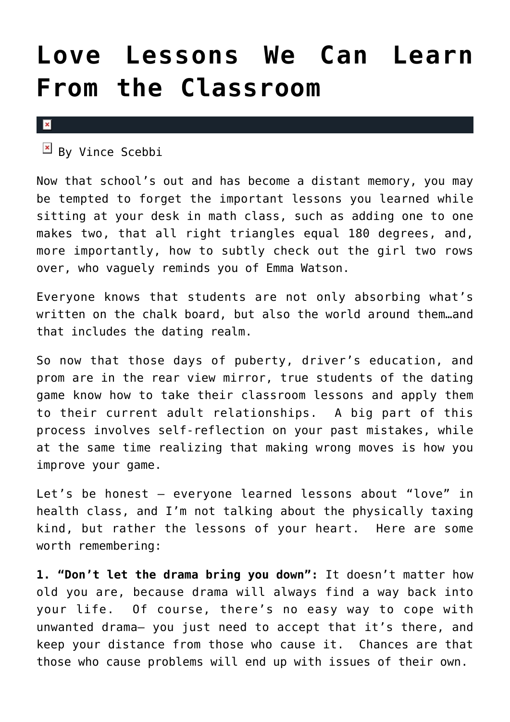## **[Love Lessons We Can Learn](https://cupidspulse.com/17991/love-lessons-learn-classroom-school-dating/) [From the Classroom](https://cupidspulse.com/17991/love-lessons-learn-classroom-school-dating/)**

 $\pmb{\times}$ 

 $By$  Vince Scebbi

Now that school's out and has become a distant memory, you may be tempted to forget the important lessons you learned while sitting at your desk in math class, such as adding one to one makes two, that all right triangles equal 180 degrees, and, more importantly, how to subtly check out the girl two rows over, who vaguely reminds you of Emma Watson.

Everyone knows that students are not only absorbing what's written on the chalk board, but also the world around them…and that includes the dating realm.

So now that those days of puberty, driver's education, and prom are in the rear view mirror, true students of the dating game know how to take their classroom lessons and apply them to their current adult relationships. A big part of this process involves self-reflection on your past mistakes, while at the same time realizing that making wrong moves is how you improve your game.

Let's be honest – everyone learned lessons about "love" in health class, and I'm not talking about the physically taxing kind, but rather the lessons of your heart. Here are some worth remembering:

**1. "Don't let the drama bring you down":** It doesn't matter how old you are, because drama will always find a way back into your life. Of course, there's no easy way to cope with unwanted drama– you just need to accept that it's there, and keep your distance from those who cause it. Chances are that those who cause problems will end up with issues of their own.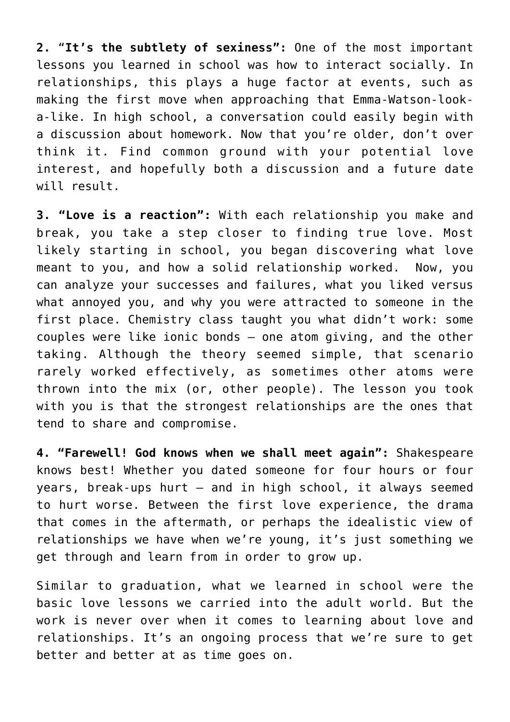**2.** "**It's the subtlety of sexiness":** One of the most important lessons you learned in school was how to interact socially. In relationships, this plays a huge factor at events, such as making the first move when approaching that Emma-Watson-looka-like. In high school, a conversation could easily begin with a discussion about homework. Now that you're older, don't over think it. Find common ground with your potential love interest, and hopefully both a discussion and a future date will result.

**3. "Love is a reaction":** With each relationship you make and break, you take a step closer to finding true love. Most likely starting in school, you began discovering what love meant to you, and how a solid relationship worked. Now, you can analyze your successes and failures, what you liked versus what annoyed you, and why you were attracted to someone in the first place. Chemistry class taught you what didn't work: some couples were like ionic bonds – one atom giving, and the other taking. Although the theory seemed simple, that scenario rarely worked effectively, as sometimes other atoms were thrown into the mix (or, other people). The lesson you took with you is that the strongest relationships are the ones that tend to share and compromise.

**4. "Farewell! God knows when we shall meet again":** Shakespeare knows best! Whether you dated someone for four hours or four years, break-ups hurt – and in high school, it always seemed to hurt worse. Between the first love experience, the drama that comes in the aftermath, or perhaps the idealistic view of relationships we have when we're young, it's just something we get through and learn from in order to grow up.

Similar to graduation, what we learned in school were the basic love lessons we carried into the adult world. But the work is never over when it comes to learning about love and relationships. It's an ongoing process that we're sure to get better and better at as time goes on.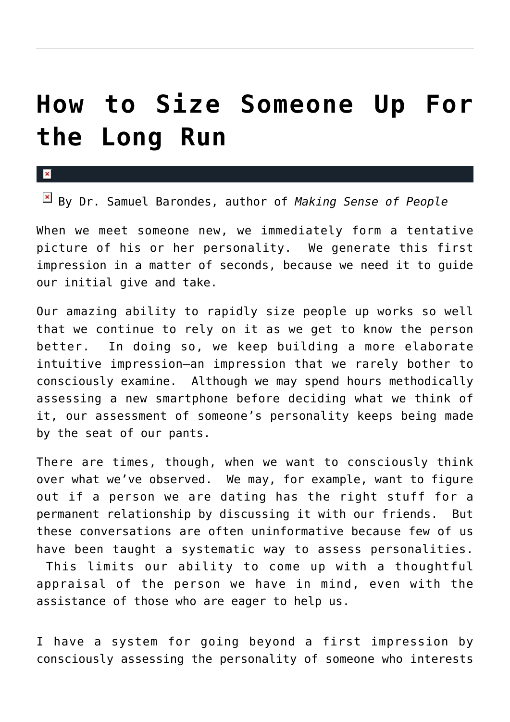## **[How to Size Someone Up For](https://cupidspulse.com/19822/sizing-someone-up-long-run-long-term-relationship-samuel-barondes/) [the Long Run](https://cupidspulse.com/19822/sizing-someone-up-long-run-long-term-relationship-samuel-barondes/)**

x

By Dr. Samuel Barondes, author of *Making Sense of People*

When we meet someone new, we immediately form a tentative picture of his or her personality. We generate this first impression in a matter of seconds, because we need it to guide our initial give and take.

Our amazing ability to rapidly size people up works so well that we continue to rely on it as we get to know the person better. In doing so, we keep building a more elaborate intuitive impression—an impression that we rarely bother to consciously examine. Although we may spend hours methodically assessing a new smartphone before deciding what we think of it, our assessment of someone's personality keeps being made by the seat of our pants.

There are times, though, when we want to consciously think over what we've observed. We may, for example, want to figure out if a person we are dating has the right stuff for a permanent relationship by discussing it with our friends. But these conversations are often uninformative because few of us have been taught a systematic way to assess personalities. This limits our ability to come up with a thoughtful

appraisal of the person we have in mind, even with the assistance of those who are eager to help us.

I have a system for going beyond a first impression by consciously assessing the personality of someone who interests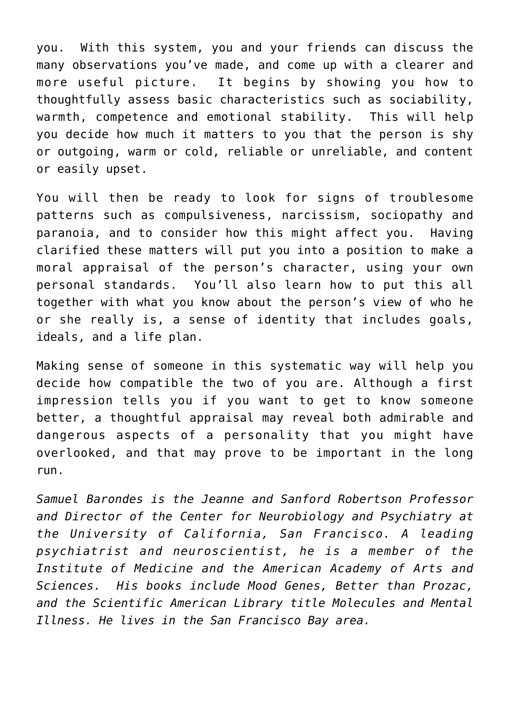you. With this system, you and your friends can discuss the many observations you've made, and come up with a clearer and more useful picture. It begins by showing you how to thoughtfully assess basic characteristics such as sociability, warmth, competence and emotional stability. This will help you decide how much it matters to you that the person is shy or outgoing, warm or cold, reliable or unreliable, and content or easily upset.

You will then be ready to look for signs of troublesome patterns such as compulsiveness, narcissism, sociopathy and paranoia, and to consider how this might affect you. Having clarified these matters will put you into a position to make a moral appraisal of the person's character, using your own personal standards. You'll also learn how to put this all together with what you know about the person's view of who he or she really is, a sense of identity that includes goals, ideals, and a life plan.

Making sense of someone in this systematic way will help you decide how compatible the two of you are. Although a first impression tells you if you want to get to know someone better, a thoughtful appraisal may reveal both admirable and dangerous aspects of a personality that you might have overlooked, and that may prove to be important in the long run.

*Samuel Barondes is the Jeanne and Sanford Robertson Professor and Director of the Center for Neurobiology and Psychiatry at the University of California, San Francisco. A leading psychiatrist and neuroscientist, he is a member of the Institute of Medicine and the American Academy of Arts and Sciences. His books include Mood Genes, Better than Prozac, and the Scientific American Library title Molecules and Mental Illness. He lives in the San Francisco Bay area.*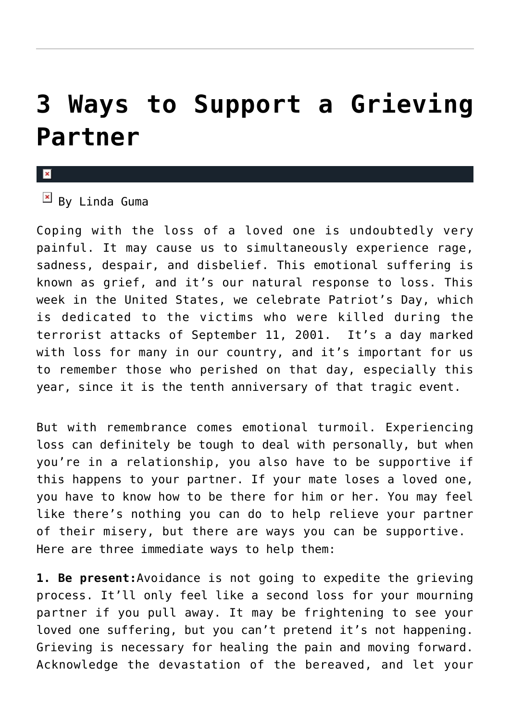## **[3 Ways to Support a Grieving](https://cupidspulse.com/17673/3-ways-support-grieving-partner/) [Partner](https://cupidspulse.com/17673/3-ways-support-grieving-partner/)**

 $\overline{B}$  By Linda Guma

Coping with the loss of a loved one is undoubtedly very painful. It may cause us to simultaneously experience rage, sadness, despair, and disbelief. This emotional suffering is known as grief, and it's our natural response to loss. This week in the United States, we celebrate Patriot's Day, which is dedicated to the victims who were killed during the terrorist attacks of September 11, 2001. It's a day marked with loss for many in our country, and it's important for us to remember those who perished on that day, especially this year, since it is the tenth anniversary of that tragic event.

But with remembrance comes emotional turmoil. Experiencing loss can definitely be tough to deal with personally, but when you're in a relationship, you also have to be supportive if this happens to your partner. If your mate loses a loved one, you have to know how to be there for him or her. You may feel like there's nothing you can do to help relieve your partner of their misery, but there are ways you can be supportive. Here are three immediate ways to help them:

**1. Be present:**Avoidance is not going to expedite the grieving process. It'll only feel like a second loss for your mourning partner if you pull away. It may be frightening to see your loved one suffering, but you can't pretend it's not happening. Grieving is necessary for healing the pain and moving forward. Acknowledge the devastation of the bereaved, and let your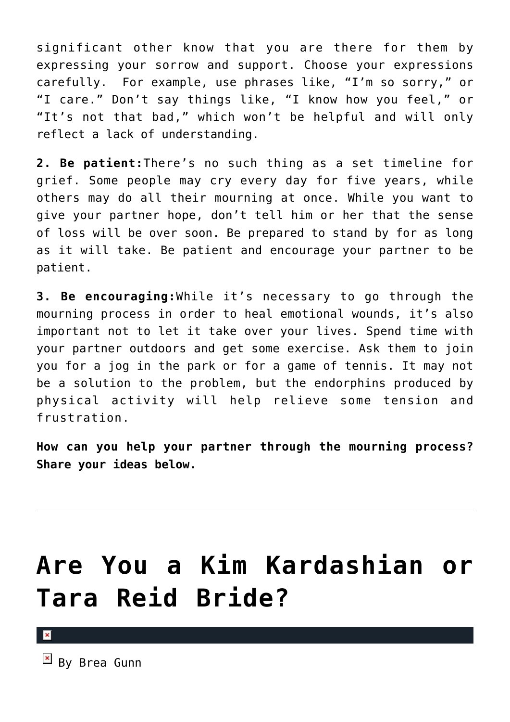significant other know that you are there for them by expressing your sorrow and support. Choose your expressions carefully. For example, use phrases like, "I'm so sorry," or "I care." Don't say things like, "I know how you feel," or "It's not that bad," which won't be helpful and will only reflect a lack of understanding.

**2. Be patient:**There's no such thing as a set timeline for grief. Some people may cry every day for five years, while others may do all their mourning at once. While you want to give your partner hope, don't tell him or her that the sense of loss will be over soon. Be prepared to stand by for as long as it will take. Be patient and encourage your partner to be patient.

**3. Be encouraging:**While it's necessary to go through the mourning process in order to heal emotional wounds, it's also important not to let it take over your lives. Spend time with your partner outdoors and get some exercise. Ask them to join you for a jog in the park or for a game of tennis. It may not be a solution to the problem, but the endorphins produced by physical activity will help relieve some tension and frustration.

**How can you help your partner through the mourning process? Share your ideas below.**

# **[Are You a Kim Kardashian or](https://cupidspulse.com/19725/kim-kardashian-traditional-wedding-tara-reid-elope/) [Tara Reid Bride?](https://cupidspulse.com/19725/kim-kardashian-traditional-wedding-tara-reid-elope/)**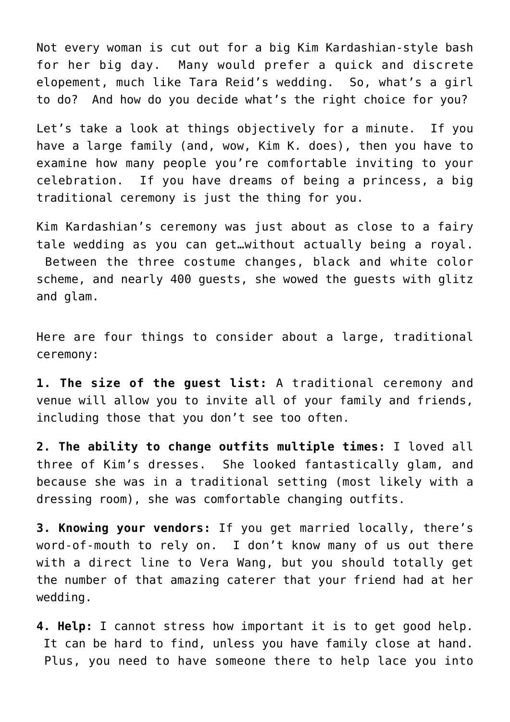Not every woman is cut out for a big Kim Kardashian-style bash for her big day. Many would prefer a quick and discrete elopement, much like Tara Reid's wedding. So, what's a girl to do? And how do you decide what's the right choice for you?

Let's take a look at things objectively for a minute. If you have a large family (and, wow, Kim K. does), then you have to examine how many people you're comfortable inviting to your celebration. If you have dreams of being a princess, a big traditional ceremony is just the thing for you.

Kim Kardashian's ceremony was just about as close to a fairy tale wedding as you can get…without actually being a royal. Between the three costume changes, black and white color scheme, and nearly 400 guests, she wowed the guests with glitz and glam.

Here are four things to consider about a large, traditional ceremony:

**1. The size of the guest list:** A traditional ceremony and venue will allow you to invite all of your family and friends, including those that you don't see too often.

**2. The ability to change outfits multiple times:** I loved all three of Kim's dresses. She looked fantastically glam, and because she was in a traditional setting (most likely with a dressing room), she was comfortable changing outfits.

**3. Knowing your vendors:** If you get married locally, there's word-of-mouth to rely on. I don't know many of us out there with a direct line to Vera Wang, but you should totally get the number of that amazing caterer that your friend had at her wedding.

**4. Help:** I cannot stress how important it is to get good help. It can be hard to find, unless you have family close at hand. Plus, you need to have someone there to help lace you into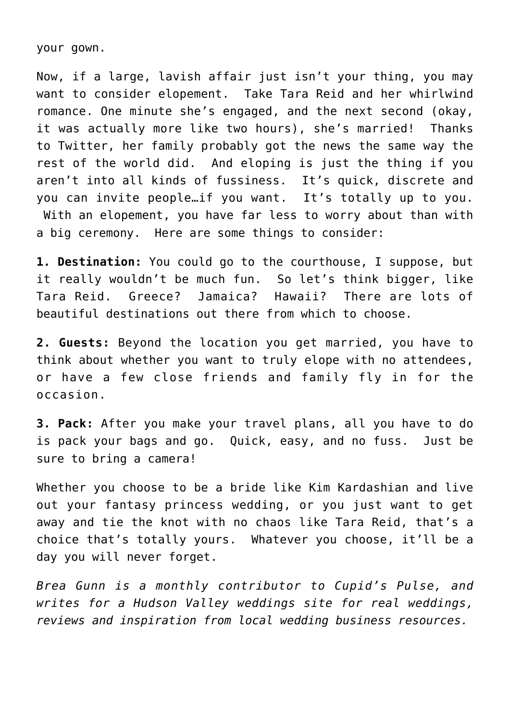your gown.

Now, if a large, lavish affair just isn't your thing, you may want to consider elopement. Take Tara Reid and her whirlwind romance. One minute she's engaged, and the next second (okay, it was actually more like two hours), she's married! Thanks to Twitter, her family probably got the news the same way the rest of the world did. And eloping is just the thing if you aren't into all kinds of fussiness. It's quick, discrete and you can invite people…if you want. It's totally up to you. With an elopement, you have far less to worry about than with a big ceremony. Here are some things to consider:

**1. Destination:** You could go to the courthouse, I suppose, but it really wouldn't be much fun. So let's think bigger, like Tara Reid. Greece? Jamaica? Hawaii? There are lots of beautiful destinations out there from which to choose.

**2. Guests:** Beyond the location you get married, you have to think about whether you want to truly elope with no attendees, or have a few close friends and family fly in for the occasion.

**3. Pack:** After you make your travel plans, all you have to do is pack your bags and go. Quick, easy, and no fuss. Just be sure to bring a camera!

Whether you choose to be a bride like Kim Kardashian and live out your fantasy princess wedding, or you just want to get away and tie the knot with no chaos like Tara Reid, that's a choice that's totally yours. Whatever you choose, it'll be a day you will never forget.

*Brea Gunn is a monthly contributor to Cupid's Pulse, and writes for a Hudson Valley weddings site for real weddings, reviews and inspiration from local wedding business resources.*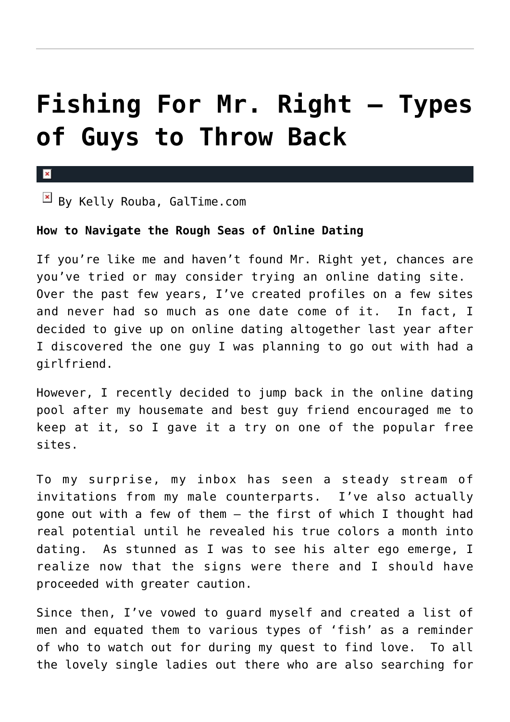## **[Fishing For Mr. Right – Types](https://cupidspulse.com/17827/fishing-mr-right-types-of-guys-to-throw-back/) [of Guys to Throw Back](https://cupidspulse.com/17827/fishing-mr-right-types-of-guys-to-throw-back/)**

 $\mathbf{x}$ 

 $\boxed{\times}$  By Kelly Rouba, GalTime.com

### **How to Navigate the Rough Seas of Online Dating**

If you're like me and haven't found Mr. Right yet, chances are you've tried or may consider trying an online dating site. Over the past few years, I've created profiles on a few sites and never had so much as one date come of it. In fact, I decided to give up on online dating altogether last year after I discovered the one guy I was planning to go out with had a girlfriend.

However, I recently decided to jump back in the online dating pool after my housemate and best guy friend encouraged me to keep at it, so I gave it a try on one of the popular free sites.

To my surprise, my inbox has seen a steady stream of invitations from my male counterparts. I've also actually gone out with a few of them – the first of which I thought had real potential until he revealed his true colors a month into dating. As stunned as I was to see his alter ego emerge, I realize now that the signs were there and I should have proceeded with greater caution.

Since then, I've vowed to guard myself and created a list of men and equated them to various types of 'fish' as a reminder of who to watch out for during my quest to find love. To all the lovely single ladies out there who are also searching for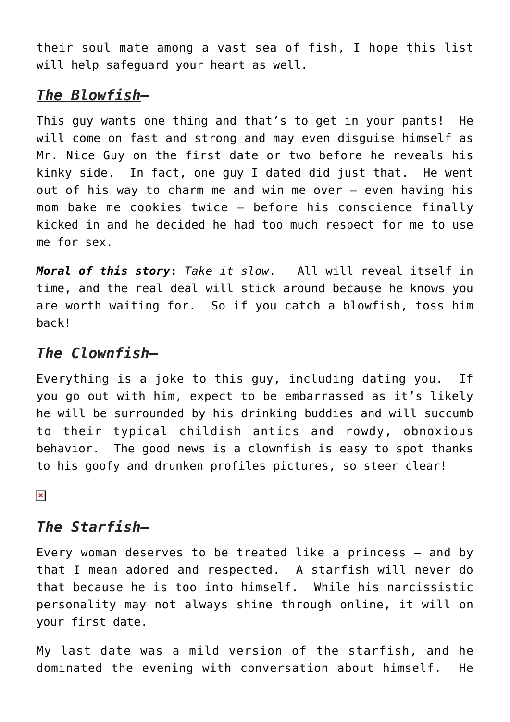their soul mate among a vast sea of fish, I hope this list will help safeguard your heart as well.

## *The Blowfish–*

This guy wants one thing and that's to get in your pants! He will come on fast and strong and may even disguise himself as Mr. Nice Guy on the first date or two before he reveals his kinky side. In fact, one guy I dated did just that. He went out of his way to charm me and win me over – even having his mom bake me cookies twice – before his conscience finally kicked in and he decided he had too much respect for me to use me for sex.

*Moral of this story***:** *Take it slow*. All will reveal itself in time, and the real deal will stick around because he knows you are worth waiting for. So if you catch a blowfish, toss him back!

## *The Clownfish–*

Everything is a joke to this guy, including dating you. If you go out with him, expect to be embarrassed as it's likely he will be surrounded by his drinking buddies and will succumb to their typical childish antics and rowdy, obnoxious behavior. The good news is a clownfish is easy to spot thanks to his goofy and drunken profiles pictures, so steer clear!

 $\pmb{\times}$ 

## *The Starfish–*

Every woman deserves to be treated like a princess – and by that I mean adored and respected. A starfish will never do that because he is too into himself. While his narcissistic personality may not always shine through online, it will on your first date.

My last date was a mild version of the starfish, and he dominated the evening with conversation about himself. He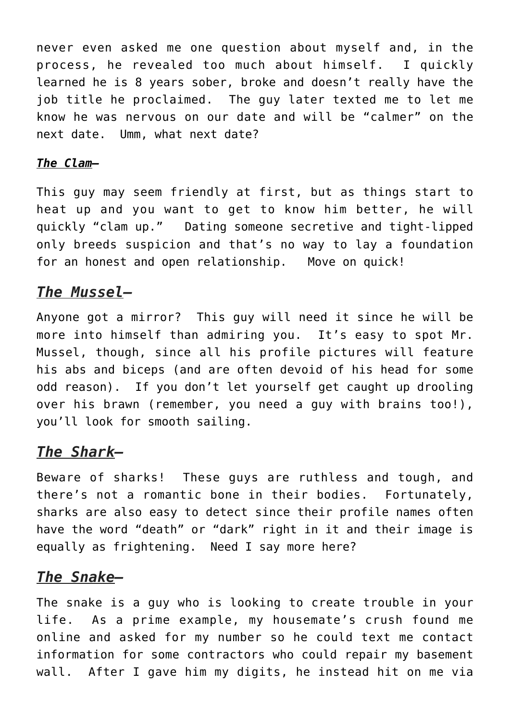never even asked me one question about myself and, in the process, he revealed too much about himself. I quickly learned he is 8 years sober, broke and doesn't really have the job title he proclaimed. The guy later texted me to let me know he was nervous on our date and will be "calmer" on the next date. Umm, what next date?

## *The Clam–*

This guy may seem friendly at first, but as things start to heat up and you want to get to know him better, he will quickly "clam up." Dating someone secretive and tight-lipped only breeds suspicion and that's no way to lay a foundation for an honest and open relationship. Move on quick!

## *The Mussel–*

Anyone got a mirror? This guy will need it since he will be more into himself than admiring you. It's easy to spot Mr. Mussel, though, since all his profile pictures will feature his abs and biceps (and are often devoid of his head for some odd reason). If you don't let yourself get caught up drooling over his brawn (remember, you need a guy with brains too!), you'll look for smooth sailing.

## *The Shark–*

Beware of sharks! These guys are ruthless and tough, and there's not a romantic bone in their bodies. Fortunately, sharks are also easy to detect since their profile names often have the word "death" or "dark" right in it and their image is equally as frightening. Need I say more here?

## *The Snake–*

The snake is a guy who is looking to create trouble in your life. As a prime example, my housemate's crush found me online and asked for my number so he could text me contact information for some contractors who could repair my basement wall. After I gave him my digits, he instead hit on me via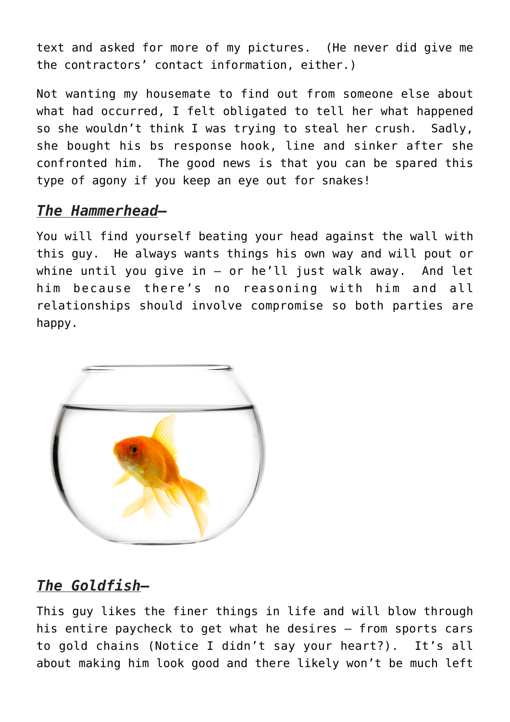text and asked for more of my pictures. (He never did give me the contractors' contact information, either.)

Not wanting my housemate to find out from someone else about what had occurred, I felt obligated to tell her what happened so she wouldn't think I was trying to steal her crush. Sadly, she bought his bs response hook, line and sinker after she confronted him. The good news is that you can be spared this type of agony if you keep an eye out for snakes!

## *The Hammerhead–*

You will find yourself beating your head against the wall with this guy. He always wants things his own way and will pout or whine until you give in – or he'll just walk away. And let him because there's no reasoning with him and all relationships should involve compromise so both parties are happy.



## *The Goldfish–*

This guy likes the finer things in life and will blow through his entire paycheck to get what he desires – from sports cars to gold chains (Notice I didn't say your heart?). It's all about making him look good and there likely won't be much left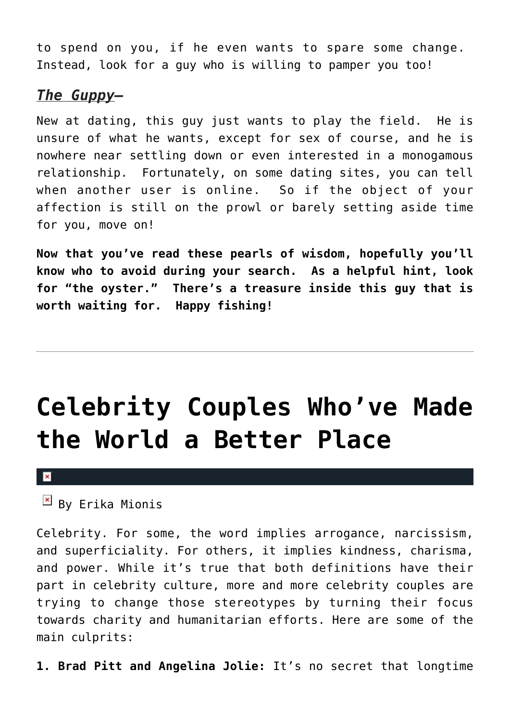to spend on you, if he even wants to spare some change. Instead, look for a guy who is willing to pamper you too!

## *The Guppy–*

New at dating, this guy just wants to play the field. He is unsure of what he wants, except for sex of course, and he is nowhere near settling down or even interested in a monogamous relationship. Fortunately, on some dating sites, you can tell when another user is online. So if the object of your affection is still on the prowl or barely setting aside time for you, move on!

**Now that you've read these pearls of wisdom, hopefully you'll know who to avoid during your search. As a helpful hint, look for "the oyster." There's a treasure inside this guy that is worth waiting for. Happy fishing!**

## **[Celebrity Couples Who've Made](https://cupidspulse.com/18635/celebrity-couples-made-world-better-place/) [the World a Better Place](https://cupidspulse.com/18635/celebrity-couples-made-world-better-place/)**

#### $\mathbf{R}$

**Ex** By Erika Mionis

Celebrity. For some, the word implies arrogance, narcissism, and superficiality. For others, it implies kindness, charisma, and power. While it's true that both definitions have their part in celebrity culture, more and more celebrity couples are trying to change those stereotypes by turning their focus towards charity and humanitarian efforts. Here are some of the main culprits:

**1. Brad Pitt and Angelina Jolie:** It's no secret that longtime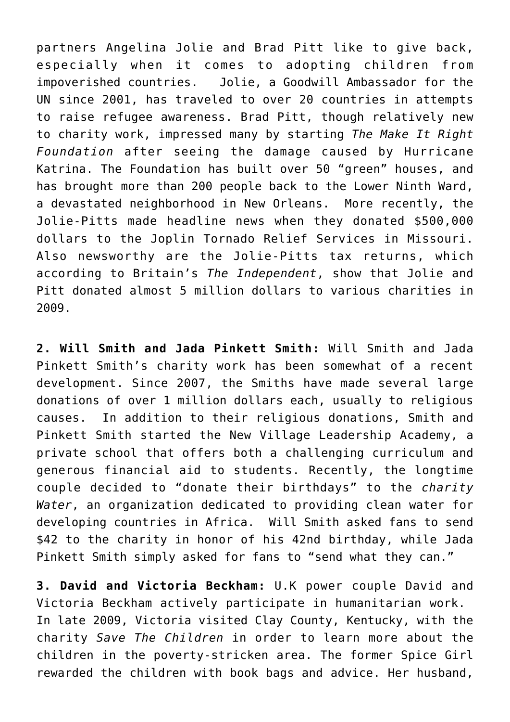partners Angelina Jolie and Brad Pitt like to give back, especially when it comes to adopting children from impoverished countries. Jolie, a Goodwill Ambassador for the UN since 2001, has traveled to over 20 countries in attempts to raise refugee awareness. Brad Pitt, though relatively new to charity work, impressed many by starting *The Make It Right Foundation* after seeing the damage caused by Hurricane Katrina. The Foundation has built over 50 "green" houses, and has brought more than 200 people back to the Lower Ninth Ward, a devastated neighborhood in New Orleans. More recently, the Jolie-Pitts made headline news when they donated \$500,000 dollars to the Joplin Tornado Relief Services in Missouri. Also newsworthy are the Jolie-Pitts tax returns, which according to Britain's *The Independent*, show that Jolie and Pitt donated almost 5 million dollars to various charities in 2009.

**2. Will Smith and Jada Pinkett Smith:** Will Smith and Jada Pinkett Smith's charity work has been somewhat of a recent development. Since 2007, the Smiths have made several large donations of over 1 million dollars each, usually to religious causes. In addition to their religious donations, Smith and Pinkett Smith started the New Village Leadership Academy, a private school that offers both a challenging curriculum and generous financial aid to students. Recently, the longtime couple decided to "donate their birthdays" to the *charity Water*, an organization dedicated to providing clean water for developing countries in Africa. Will Smith asked fans to send \$42 to the charity in honor of his 42nd birthday, while Jada Pinkett Smith simply asked for fans to "send what they can."

**3. David and Victoria Beckham:** U.K power couple David and Victoria Beckham actively participate in humanitarian work. In late 2009, Victoria visited Clay County, Kentucky, with the charity *Save The Children* in order to learn more about the children in the poverty-stricken area. The former Spice Girl rewarded the children with book bags and advice. Her husband,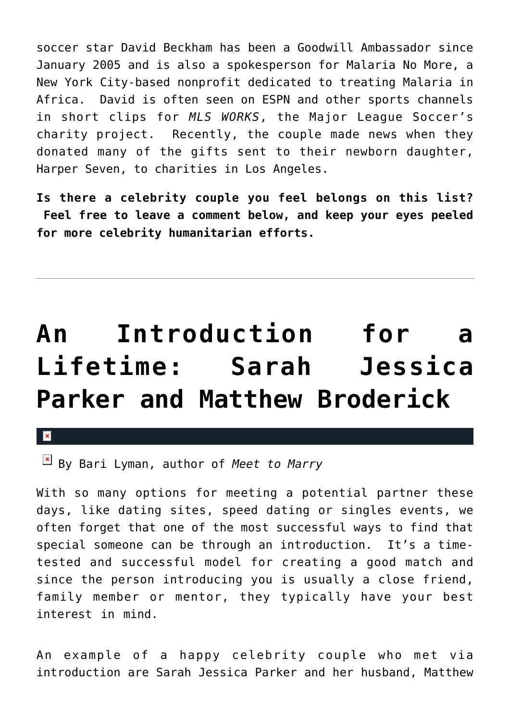soccer star David Beckham has been a Goodwill Ambassador since January 2005 and is also a spokesperson for Malaria No More, a New York City-based nonprofit dedicated to treating Malaria in Africa. David is often seen on ESPN and other sports channels in short clips for *MLS WORKS*, the Major League Soccer's charity project. Recently, the couple made news when they donated many of the gifts sent to their newborn daughter, Harper Seven, to charities in Los Angeles.

**Is there a celebrity couple you feel belongs on this list? Feel free to leave a comment below, and keep your eyes peeled for more celebrity humanitarian efforts.**

## **[An Introduction for a](https://cupidspulse.com/19635/meet-to-marry-bari-lyman-discusses-sarah-jessica-parker-and-matthew-broderick-marriage/) [Lifetime: Sarah Jessica](https://cupidspulse.com/19635/meet-to-marry-bari-lyman-discusses-sarah-jessica-parker-and-matthew-broderick-marriage/) [Parker and Matthew Broderick](https://cupidspulse.com/19635/meet-to-marry-bari-lyman-discusses-sarah-jessica-parker-and-matthew-broderick-marriage/)**

 $\overline{\mathbf{x}}$ 

By Bari Lyman, author of *Meet to Marry*

With so many options for meeting a potential partner these days, like dating sites, speed dating or singles events, we often forget that one of the most successful ways to find that special someone can be through an introduction. It's a timetested and successful model for creating a good match and since the person introducing you is usually a close friend, family member or mentor, they typically have your best interest in mind.

An example of a happy celebrity couple who met via introduction are Sarah Jessica Parker and her husband, Matthew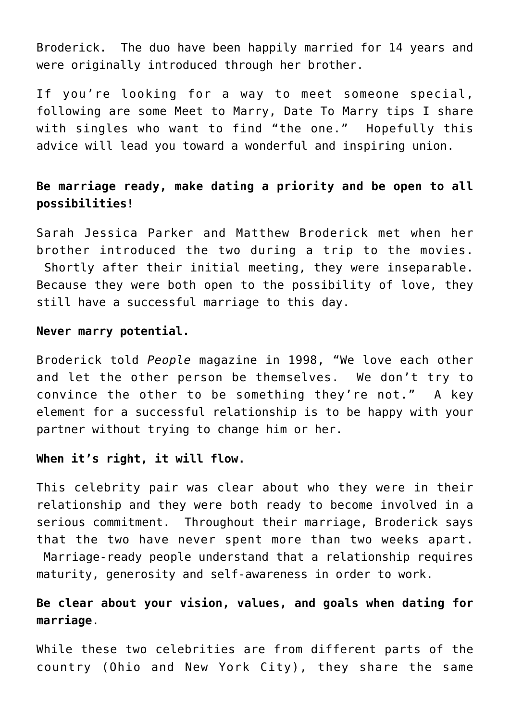Broderick. The duo have been happily married for 14 years and were originally introduced through her brother.

If you're looking for a way to meet someone special, following are some Meet to Marry, Date To Marry tips I share with singles who want to find "the one." Hopefully this advice will lead you toward a wonderful and inspiring union.

## **Be marriage ready, make dating a priority and be open to all possibilities!**

Sarah Jessica Parker and Matthew Broderick met when her brother introduced the two during a trip to the movies. Shortly after their initial meeting, they were inseparable. Because they were both open to the possibility of love, they still have a successful marriage to this day.

#### **Never marry potential.**

Broderick told *People* magazine in 1998, "We love each other and let the other person be themselves. We don't try to convince the other to be something they're not." A key element for a successful relationship is to be happy with your partner without trying to change him or her.

### **When it's right, it will flow.**

This celebrity pair was clear about who they were in their relationship and they were both ready to become involved in a serious commitment. Throughout their marriage, Broderick says that the two have never spent more than two weeks apart. Marriage-ready people understand that a relationship requires maturity, generosity and self-awareness in order to work.

## **Be clear about your vision, values, and goals when dating for marriage**.

While these two celebrities are from different parts of the country (Ohio and New York City), they share the same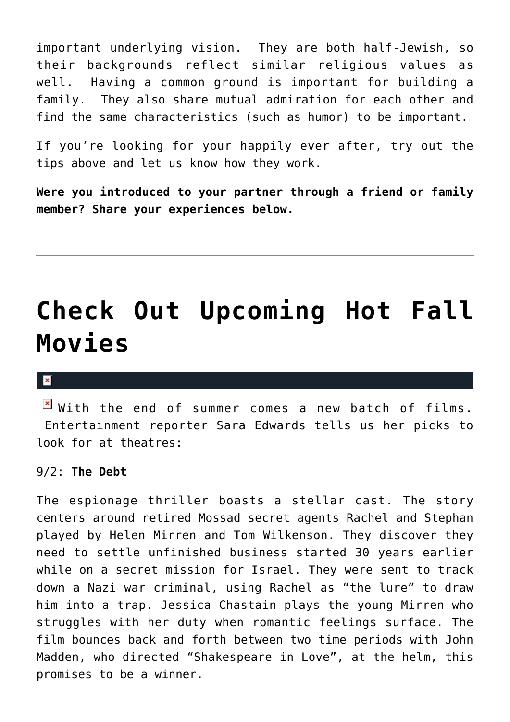important underlying vision. They are both half-Jewish, so their backgrounds reflect similar religious values as well. Having a common ground is important for building a family. They also share mutual admiration for each other and find the same characteristics (such as humor) to be important.

If you're looking for your happily ever after, try out the tips above and let us know how they work.

**Were you introduced to your partner through a friend or family member? Share your experiences below.**

## **[Check Out Upcoming Hot Fall](https://cupidspulse.com/19551/upcoming-hot-fall-movies/) [Movies](https://cupidspulse.com/19551/upcoming-hot-fall-movies/)**

#### $\mathbf{x}$

 $\boxed{\times}$  With the end of summer comes a new batch of films. Entertainment reporter Sara Edwards tells us her picks to look for at theatres:

#### 9/2: **The Debt**

The espionage thriller boasts a stellar cast. The story centers around retired Mossad secret agents Rachel and Stephan played by Helen Mirren and Tom Wilkenson. They discover they need to settle unfinished business started 30 years earlier while on a secret mission for Israel. They were sent to track down a Nazi war criminal, using Rachel as "the lure" to draw him into a trap. Jessica Chastain plays the young Mirren who struggles with her duty when romantic feelings surface. The film bounces back and forth between two time periods with John Madden, who directed "Shakespeare in Love", at the helm, this promises to be a winner.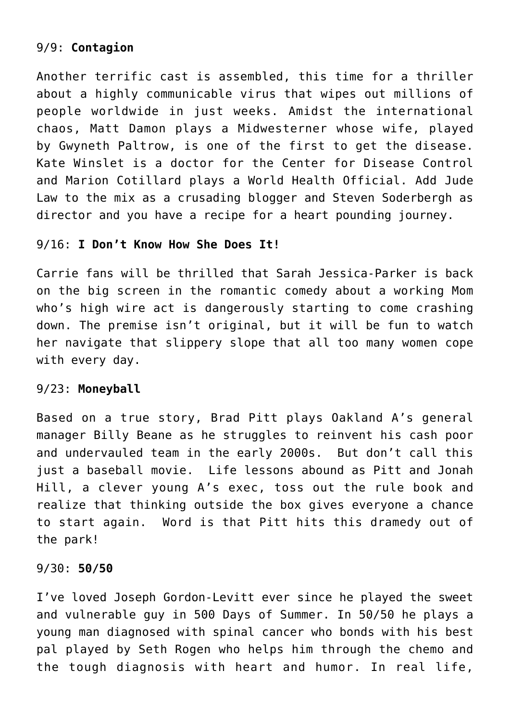## 9/9: **Contagion**

Another terrific cast is assembled, this time for a thriller about a highly communicable virus that wipes out millions of people worldwide in just weeks. Amidst the international chaos, Matt Damon plays a Midwesterner whose wife, played by Gwyneth Paltrow, is one of the first to get the disease. Kate Winslet is a doctor for the Center for Disease Control and Marion Cotillard plays a World Health Official. Add Jude Law to the mix as a crusading blogger and Steven Soderbergh as director and you have a recipe for a heart pounding journey.

### 9/16: **I Don't Know How She Does It!**

Carrie fans will be thrilled that Sarah Jessica-Parker is back on the big screen in the romantic comedy about a working Mom who's high wire act is dangerously starting to come crashing down. The premise isn't original, but it will be fun to watch her navigate that slippery slope that all too many women cope with every day.

### 9/23: **Moneyball**

Based on a true story, Brad Pitt plays Oakland A's general manager Billy Beane as he struggles to reinvent his cash poor and undervauled team in the early 2000s. But don't call this just a baseball movie. Life lessons abound as Pitt and Jonah Hill, a clever young A's exec, toss out the rule book and realize that thinking outside the box gives everyone a chance to start again. Word is that Pitt hits this dramedy out of the park!

#### 9/30: **50/50**

I've loved Joseph Gordon-Levitt ever since he played the sweet and vulnerable guy in 500 Days of Summer. In 50/50 he plays a young man diagnosed with spinal cancer who bonds with his best pal played by Seth Rogen who helps him through the chemo and the tough diagnosis with heart and humor. In real life,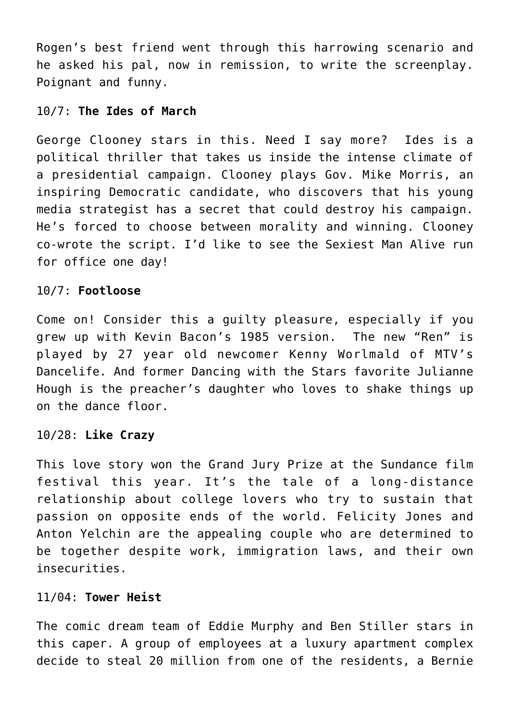Rogen's best friend went through this harrowing scenario and he asked his pal, now in remission, to write the screenplay. Poignant and funny.

### 10/7: **The Ides of March**

George Clooney stars in this. Need I say more? Ides is a political thriller that takes us inside the intense climate of a presidential campaign. Clooney plays Gov. Mike Morris, an inspiring Democratic candidate, who discovers that his young media strategist has a secret that could destroy his campaign. He's forced to choose between morality and winning. Clooney co-wrote the script. I'd like to see the Sexiest Man Alive run for office one day!

### 10/7: **Footloose**

Come on! Consider this a guilty pleasure, especially if you grew up with Kevin Bacon's 1985 version. The new "Ren" is played by 27 year old newcomer Kenny Worlmald of MTV's Dancelife. And former Dancing with the Stars favorite Julianne Hough is the preacher's daughter who loves to shake things up on the dance floor.

### 10/28: **Like Crazy**

This love story won the Grand Jury Prize at the Sundance film festival this year. It's the tale of a long-distance relationship about college lovers who try to sustain that passion on opposite ends of the world. Felicity Jones and Anton Yelchin are the appealing couple who are determined to be together despite work, immigration laws, and their own insecurities.

### 11/04: **Tower Heist**

The comic dream team of Eddie Murphy and Ben Stiller stars in this caper. A group of employees at a luxury apartment complex decide to steal 20 million from one of the residents, a Bernie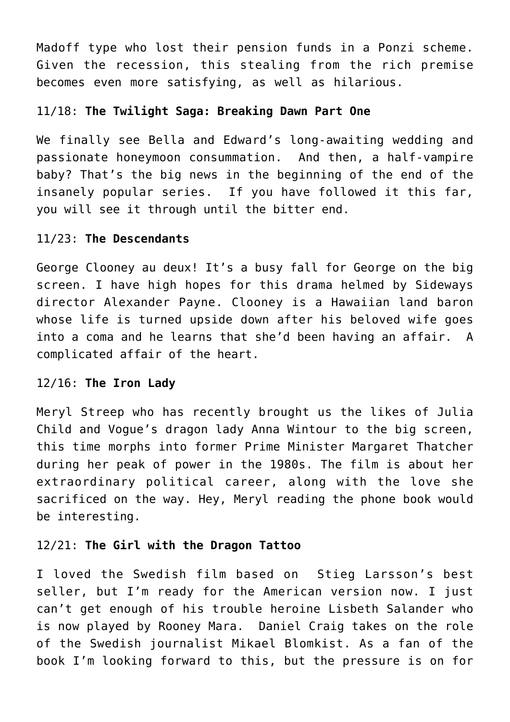Madoff type who lost their pension funds in a Ponzi scheme. Given the recession, this stealing from the rich premise becomes even more satisfying, as well as hilarious.

### 11/18: **The Twilight Saga: Breaking Dawn Part One**

We finally see Bella and Edward's long-awaiting wedding and passionate honeymoon consummation. And then, a half-vampire baby? That's the big news in the beginning of the end of the insanely popular series. If you have followed it this far, you will see it through until the bitter end.

#### 11/23: **The Descendants**

George Clooney au deux! It's a busy fall for George on the big screen. I have high hopes for this drama helmed by Sideways director Alexander Payne. Clooney is a Hawaiian land baron whose life is turned upside down after his beloved wife goes into a coma and he learns that she'd been having an affair. A complicated affair of the heart.

### 12/16: **The Iron Lady**

Meryl Streep who has recently brought us the likes of Julia Child and Vogue's dragon lady Anna Wintour to the big screen, this time morphs into former Prime Minister Margaret Thatcher during her peak of power in the 1980s. The film is about her extraordinary political career, along with the love she sacrificed on the way. Hey, Meryl reading the phone book would be interesting.

### 12/21: **The Girl with the Dragon Tattoo**

I loved the Swedish film based on Stieg Larsson's best seller, but I'm ready for the American version now. I just can't get enough of his trouble heroine Lisbeth Salander who is now played by Rooney Mara. Daniel Craig takes on the role of the Swedish journalist Mikael Blomkist. As a fan of the book I'm looking forward to this, but the pressure is on for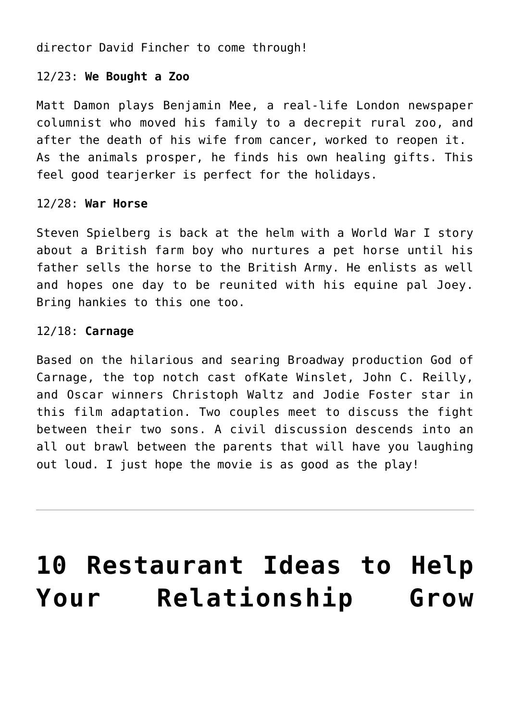director David Fincher to come through!

## 12/23: **We Bought a Zoo**

Matt Damon plays Benjamin Mee, a real-life London newspaper columnist who moved his family to a decrepit rural zoo, and after the death of his wife from cancer, worked to reopen it. As the animals prosper, he finds his own healing gifts. This feel good tearjerker is perfect for the holidays.

### 12/28: **War Horse**

Steven Spielberg is back at the helm with a World War I story about a British farm boy who nurtures a pet horse until his father sells the horse to the British Army. He enlists as well and hopes one day to be reunited with his equine pal Joey. Bring hankies to this one too.

### 12/18: **Carnage**

Based on the hilarious and searing Broadway production God of Carnage, the top notch cast ofKate Winslet, John C. Reilly, and Oscar winners Christoph Waltz and Jodie Foster star in this film adaptation. Two couples meet to discuss the fight between their two sons. A civil discussion descends into an all out brawl between the parents that will have you laughing out loud. I just hope the movie is as good as the play!

## **[10 Restaurant Ideas to Help](https://cupidspulse.com/19598/10-restaurant-ideas-help-relationship-grow-stronger/) [Your Relationship Grow](https://cupidspulse.com/19598/10-restaurant-ideas-help-relationship-grow-stronger/)**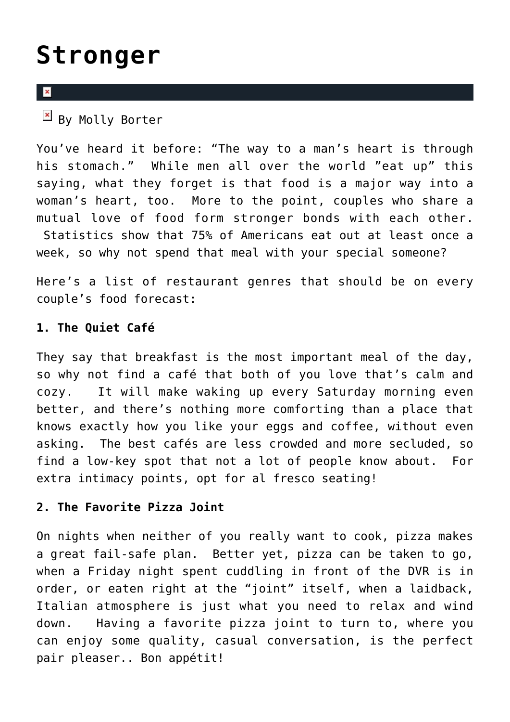## **[Stronger](https://cupidspulse.com/19598/10-restaurant-ideas-help-relationship-grow-stronger/)**

### $\mathbf{x}$

 $\frac{1}{2}$  By Molly Borter

You've heard it before: "The way to a man's heart is through his stomach." While men all over the world "eat up" this saying, what they forget is that food is a major way into a woman's heart, too. More to the point, couples who share a mutual love of food form stronger bonds with each other. Statistics show that 75% of Americans eat out at least once a week, so why not spend that meal with your special someone?

Here's a list of restaurant genres that should be on every couple's food forecast:

## **1. The Quiet Café**

They say that breakfast is the most important meal of the day, so why not find a café that both of you love that's calm and cozy. It will make waking up every Saturday morning even better, and there's nothing more comforting than a place that knows exactly how you like your eggs and coffee, without even asking. The best cafés are less crowded and more secluded, so find a low-key spot that not a lot of people know about. For extra intimacy points, opt for al fresco seating!

## **2. The Favorite Pizza Joint**

On nights when neither of you really want to cook, pizza makes a great fail-safe plan. Better yet, pizza can be taken to go, when a Friday night spent cuddling in front of the DVR is in order, or eaten right at the "joint" itself, when a laidback, Italian atmosphere is just what you need to relax and wind down. Having a favorite pizza joint to turn to, where you can enjoy some quality, casual conversation, is the perfect pair pleaser.. Bon appétit!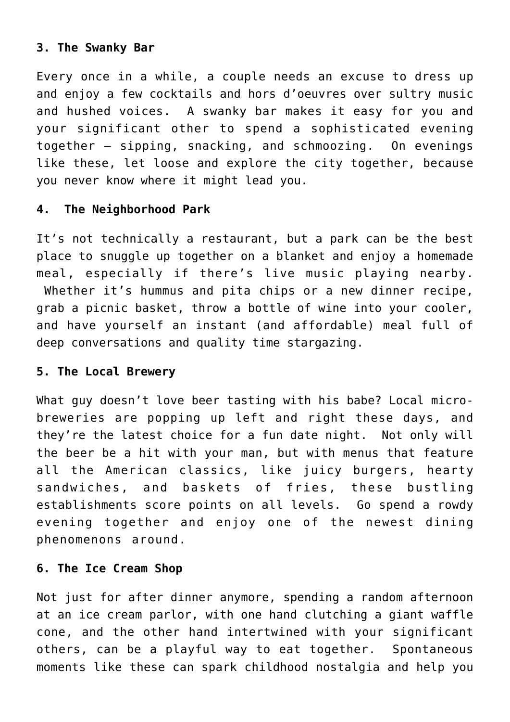## **3. The Swanky Bar**

Every once in a while, a couple needs an excuse to dress up and enjoy a few cocktails and hors d'oeuvres over sultry music and hushed voices. A swanky bar makes it easy for you and your significant other to spend a sophisticated evening together – sipping, snacking, and schmoozing. On evenings like these, let loose and explore the city together, because you never know where it might lead you.

## **4. The Neighborhood Park**

It's not technically a restaurant, but a park can be the best place to snuggle up together on a blanket and enjoy a homemade meal, especially if there's live music playing nearby. Whether it's hummus and pita chips or a new dinner recipe, grab a picnic basket, throw a bottle of wine into your cooler, and have yourself an instant (and affordable) meal full of deep conversations and quality time stargazing.

### **5. The Local Brewery**

What guy doesn't love beer tasting with his babe? Local microbreweries are popping up left and right these days, and they're the latest choice for a fun date night. Not only will the beer be a hit with your man, but with menus that feature all the American classics, like juicy burgers, hearty sandwiches, and baskets of fries, these bustling establishments score points on all levels. Go spend a rowdy evening together and enjoy one of the newest dining phenomenons around.

### **6. The Ice Cream Shop**

Not just for after dinner anymore, spending a random afternoon at an ice cream parlor, with one hand clutching a giant waffle cone, and the other hand intertwined with your significant others, can be a playful way to eat together. Spontaneous moments like these can spark childhood nostalgia and help you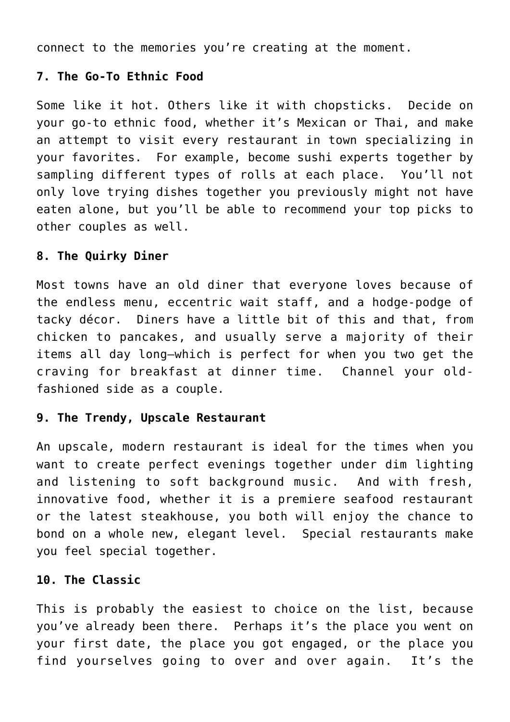connect to the memories you're creating at the moment.

## **7. The Go-To Ethnic Food**

Some like it hot. Others like it with chopsticks. Decide on your go-to ethnic food, whether it's Mexican or Thai, and make an attempt to visit every restaurant in town specializing in your favorites. For example, become sushi experts together by sampling different types of rolls at each place. You'll not only love trying dishes together you previously might not have eaten alone, but you'll be able to recommend your top picks to other couples as well.

## **8. The Quirky Diner**

Most towns have an old diner that everyone loves because of the endless menu, eccentric wait staff, and a hodge-podge of tacky décor. Diners have a little bit of this and that, from chicken to pancakes, and usually serve a majority of their items all day long–which is perfect for when you two get the craving for breakfast at dinner time. Channel your oldfashioned side as a couple.

## **9. The Trendy, Upscale Restaurant**

An upscale, modern restaurant is ideal for the times when you want to create perfect evenings together under dim lighting and listening to soft background music. And with fresh, innovative food, whether it is a premiere seafood restaurant or the latest steakhouse, you both will enjoy the chance to bond on a whole new, elegant level. Special restaurants make you feel special together.

## **10. The Classic**

This is probably the easiest to choice on the list, because you've already been there. Perhaps it's the place you went on your first date, the place you got engaged, or the place you find yourselves going to over and over again. It's the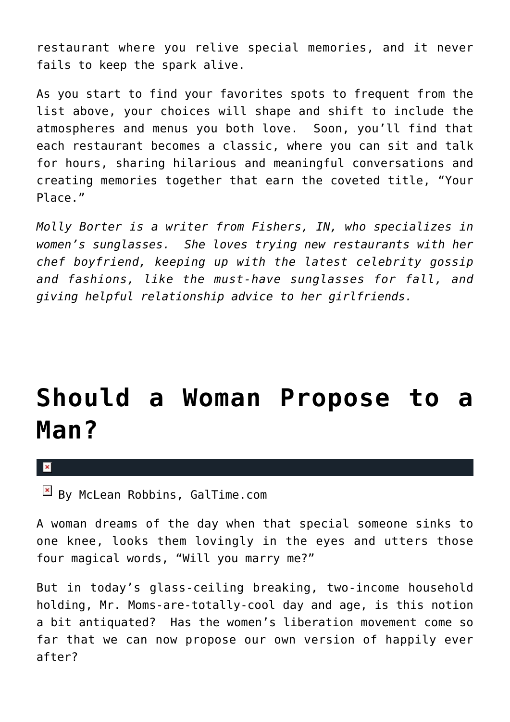restaurant where you relive special memories, and it never fails to keep the spark alive.

As you start to find your favorites spots to frequent from the list above, your choices will shape and shift to include the atmospheres and menus you both love. Soon, you'll find that each restaurant becomes a classic, where you can sit and talk for hours, sharing hilarious and meaningful conversations and creating memories together that earn the coveted title, "Your Place."

*Molly Borter is a writer from Fishers, IN, who specializes in women's sunglasses. She loves trying new restaurants with her chef boyfriend, keeping up with the latest celebrity gossip and fashions, like the must-have sunglasses for fall, and giving helpful relationship advice to her girlfriends.*

## **[Should a Woman Propose to a](https://cupidspulse.com/17818/should-women-propose-to-men/) [Man?](https://cupidspulse.com/17818/should-women-propose-to-men/)**

 $\mathbf{x}$ 

 $\frac{|\mathbf{x}|}{|\mathbf{x}|}$  By McLean Robbins, GalTime.com

A woman dreams of the day when that special someone sinks to one knee, looks them lovingly in the eyes and utters those four magical words, "Will you marry me?"

But in today's glass-ceiling breaking, two-income household holding, Mr. Moms-are-totally-cool day and age, is this notion a bit antiquated? Has the women's liberation movement come so far that we can now propose our own version of happily ever after?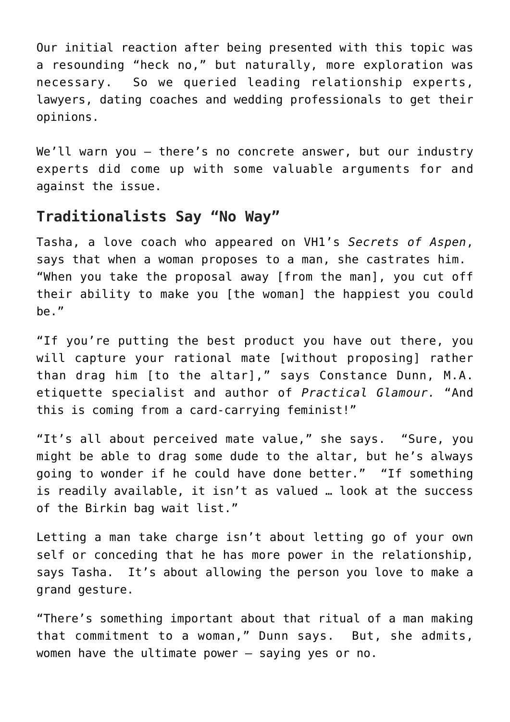Our initial reaction after being presented with this topic was a resounding "heck no," but naturally, more exploration was necessary. So we queried leading relationship experts, lawyers, dating coaches and wedding professionals to get their opinions.

We'll warn you - there's no concrete answer, but our industry experts did come up with some valuable arguments for and against the issue.

## **Traditionalists Say "No Way"**

Tasha, a love coach who appeared on VH1's *Secrets of Aspen*, says that when a woman proposes to a man, she castrates him. "When you take the proposal away [from the man], you cut off their ability to make you [the woman] the happiest you could be."

"If you're putting the best product you have out there, you will capture your rational mate [without proposing] rather than drag him [to the altar]," says Constance Dunn, M.A. etiquette specialist and author of *Practical Glamour.* "And this is coming from a card-carrying feminist!"

"It's all about perceived mate value," she says. "Sure, you might be able to drag some dude to the altar, but he's always going to wonder if he could have done better." "If something is readily available, it isn't as valued … look at the success of the Birkin bag wait list."

Letting a man take charge isn't about letting go of your own self or conceding that he has more power in the relationship, says Tasha. It's about allowing the person you love to make a grand gesture.

"There's something important about that ritual of a man making that commitment to a woman," Dunn says. But, she admits, women have the ultimate power — saying yes or no.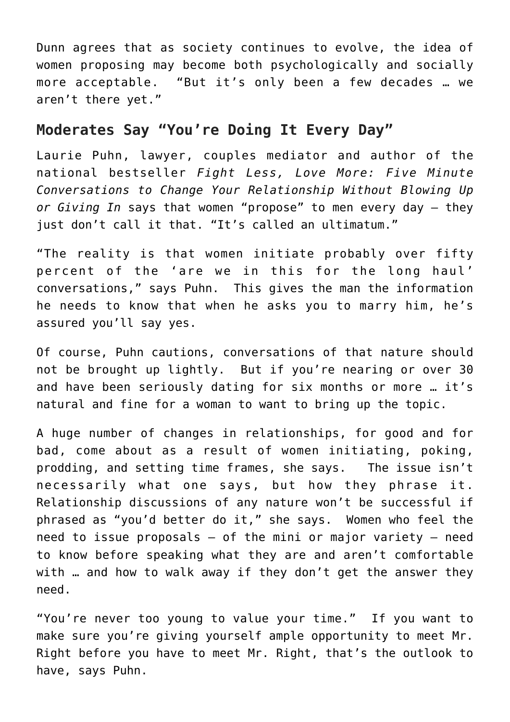Dunn agrees that as society continues to evolve, the idea of women proposing may become both psychologically and socially more acceptable. "But it's only been a few decades … we aren't there yet."

## **Moderates Say "You're Doing It Every Day"**

Laurie Puhn, lawyer, couples mediator and author of the national bestseller *Fight Less, Love More: Five Minute Conversations to Change Your Relationship Without Blowing Up or Giving In* says that women "propose" to men every day — they just don't call it that. "It's called an ultimatum."

"The reality is that women initiate probably over fifty percent of the 'are we in this for the long haul' conversations," says Puhn. This gives the man the information he needs to know that when he asks you to marry him, he's assured you'll say yes.

Of course, Puhn cautions, conversations of that nature should not be brought up lightly. But if you're nearing or over 30 and have been seriously dating for six months or more … it's natural and fine for a woman to want to bring up the topic.

A huge number of changes in relationships, for good and for bad, come about as a result of women initiating, poking, prodding, and setting time frames, she says. The issue isn't necessarily what one says, but how they phrase it. Relationship discussions of any nature won't be successful if phrased as "you'd better do it," she says. Women who feel the need to issue proposals  $-$  of the mini or major variety  $-$  need to know before speaking what they are and aren't comfortable with … and how to walk away if they don't get the answer they need.

"You're never too young to value your time." If you want to make sure you're giving yourself ample opportunity to meet Mr. Right before you have to meet Mr. Right, that's the outlook to have, says Puhn.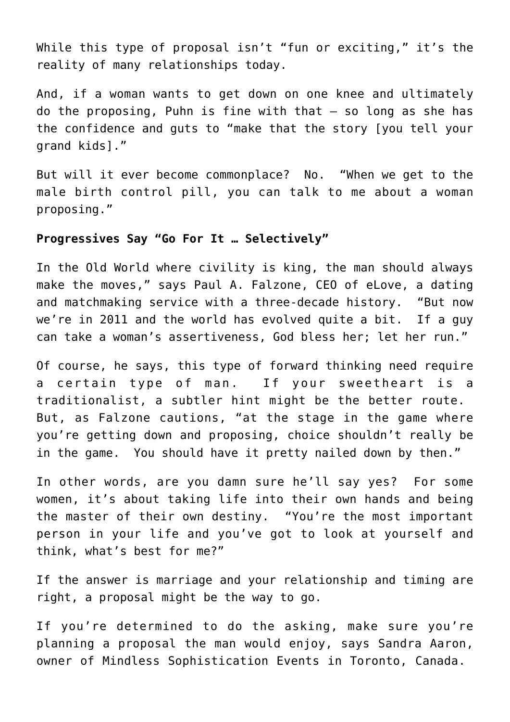While this type of proposal isn't "fun or exciting," it's the reality of many relationships today.

And, if a woman wants to get down on one knee and ultimately do the proposing, Puhn is fine with that — so long as she has the confidence and guts to "make that the story [you tell your grand kids]."

But will it ever become commonplace? No. "When we get to the male birth control pill, you can talk to me about a woman proposing."

## **Progressives Say "Go For It … Selectively"**

In the Old World where civility is king, the man should always make the moves," says Paul A. Falzone, CEO of eLove, a dating and matchmaking service with a three-decade history. "But now we're in 2011 and the world has evolved quite a bit. If a guy can take a woman's assertiveness, God bless her; let her run."

Of course, he says, this type of forward thinking need require a certain type of man. If your sweetheart is a traditionalist, a subtler hint might be the better route. But, as Falzone cautions, "at the stage in the game where you're getting down and proposing, choice shouldn't really be in the game. You should have it pretty nailed down by then."

In other words, are you damn sure he'll say yes? For some women, it's about taking life into their own hands and being the master of their own destiny. "You're the most important person in your life and you've got to look at yourself and think, what's best for me?"

If the answer is marriage and your relationship and timing are right, a proposal might be the way to go.

If you're determined to do the asking, make sure you're planning a proposal the man would enjoy, says Sandra Aaron, owner of Mindless Sophistication Events in Toronto, Canada.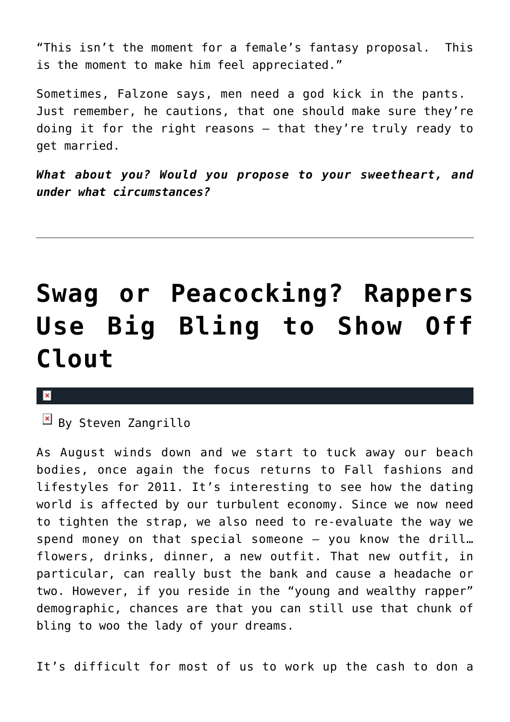"This isn't the moment for a female's fantasy proposal. This is the moment to make him feel appreciated."

Sometimes, Falzone says, men need a god kick in the pants. Just remember, he cautions, that one should make sure they're doing it for the right reasons — that they're truly ready to get married.

*What about you? Would you propose to your sweetheart, and under what circumstances?*

## **[Swag or Peacocking? Rappers](https://cupidspulse.com/19418/pawngo-talks-nelly-kanye-liljon-bling-prices/) [Use Big Bling to Show Off](https://cupidspulse.com/19418/pawngo-talks-nelly-kanye-liljon-bling-prices/) [Clout](https://cupidspulse.com/19418/pawngo-talks-nelly-kanye-liljon-bling-prices/)**

#### $\mathbf{x}$

 $\overline{B}$  By Steven Zangrillo

As August winds down and we start to tuck away our beach bodies, once again the focus returns to Fall fashions and lifestyles for 2011. It's interesting to see how the dating world is affected by our turbulent economy. Since we now need to tighten the strap, we also need to re-evaluate the way we spend money on that special someone — you know the drill… flowers, drinks, dinner, a new outfit. That new outfit, in particular, can really bust the bank and cause a headache or two. However, if you reside in the "young and wealthy rapper" demographic, chances are that you can still use that chunk of bling to woo the lady of your dreams.

It's difficult for most of us to work up the cash to don a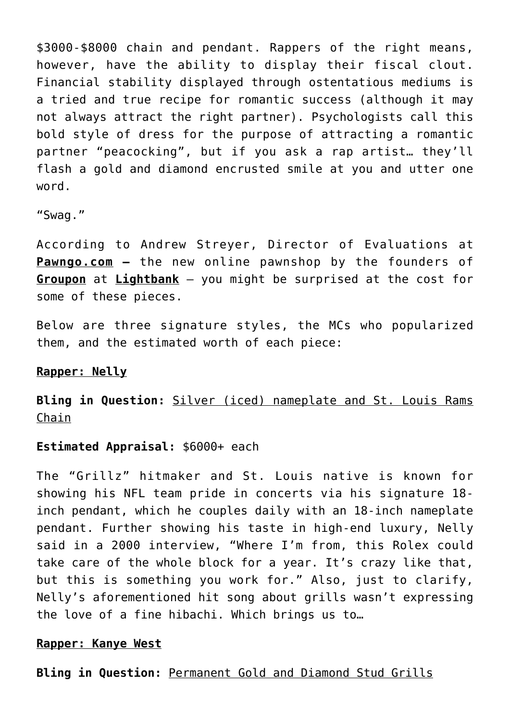\$3000-\$8000 chain and pendant. Rappers of the right means, however, have the ability to display their fiscal clout. Financial stability displayed through ostentatious mediums is a tried and true recipe for romantic success (although it may not always attract the right partner). Psychologists call this bold style of dress for the purpose of attracting a romantic partner "peacocking", but if you ask a rap artist… they'll flash a gold and diamond encrusted smile at you and utter one word.

"Swag."

According to Andrew Streyer, Director of Evaluations at **Pawngo.com —** the new online pawnshop by the founders of **Groupon** at **Lightbank** — you might be surprised at the cost for some of these pieces.

Below are three signature styles, the MCs who popularized them, and the estimated worth of each piece:

### **Rapper: Nelly**

**Bling in Question:** Silver (iced) nameplate and St. Louis Rams Chain

### **Estimated Appraisal:** \$6000+ each

The "Grillz" hitmaker and St. Louis native is known for showing his NFL team pride in concerts via his signature 18 inch pendant, which he couples daily with an 18-inch nameplate pendant. Further showing his taste in high-end luxury, Nelly said in a 2000 interview, "Where I'm from, this Rolex could take care of the whole block for a year. It's crazy like that, but this is something you work for." Also, just to clarify, Nelly's aforementioned hit song about grills wasn't expressing the love of a fine hibachi. Which brings us to…

### **Rapper: Kanye West**

**Bling in Question:** Permanent Gold and Diamond Stud Grills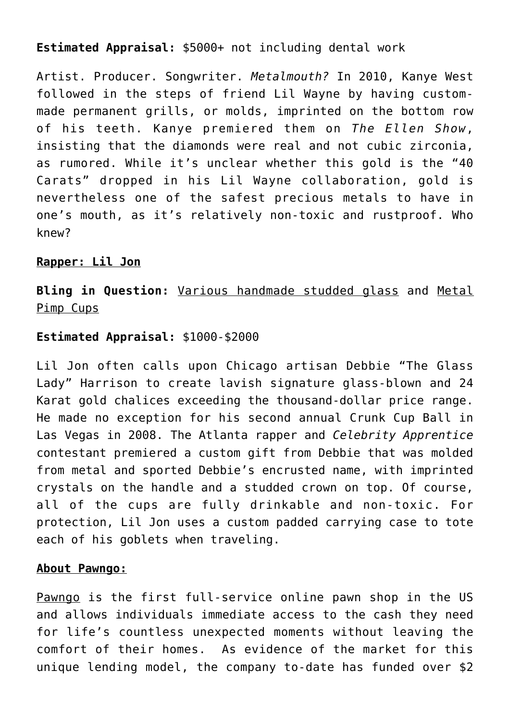## **Estimated Appraisal:** \$5000+ not including dental work

Artist. Producer. Songwriter. *Metalmouth?* In 2010, Kanye West followed in the steps of friend Lil Wayne by having custommade permanent grills, or molds, imprinted on the bottom row of his teeth. Kanye premiered them on *The Ellen Show*, insisting that the diamonds were real and not cubic zirconia, as rumored. While it's unclear whether this gold is the "40 Carats" dropped in his Lil Wayne collaboration, gold is nevertheless one of the safest precious metals to have in one's mouth, as it's relatively non-toxic and rustproof. Who knew?

### **Rapper: Lil Jon**

**Bling in Question:** Various handmade studded glass and Metal Pimp Cups

### **Estimated Appraisal:** \$1000-\$2000

Lil Jon often calls upon Chicago artisan Debbie "The Glass Lady" Harrison to create lavish signature glass-blown and 24 Karat gold chalices exceeding the thousand-dollar price range. He made no exception for his second annual Crunk Cup Ball in Las Vegas in 2008. The Atlanta rapper and *Celebrity Apprentice* contestant premiered a custom gift from Debbie that was molded from metal and sported Debbie's encrusted name, with imprinted crystals on the handle and a studded crown on top. Of course, all of the cups are fully drinkable and non-toxic. For protection, Lil Jon uses a custom padded carrying case to tote each of his goblets when traveling.

### **About Pawngo:**

Pawngo is the first full-service online pawn shop in the US and allows individuals immediate access to the cash they need for life's countless unexpected moments without leaving the comfort of their homes. As evidence of the market for this unique lending model, the company to-date has funded over \$2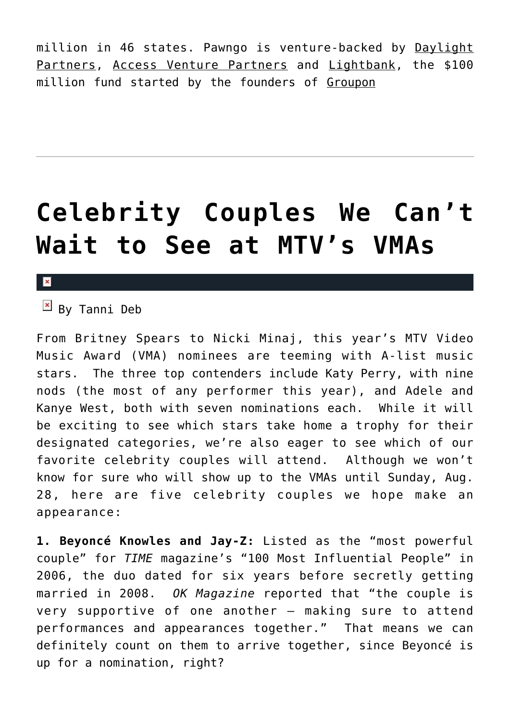million in 46 states. Pawngo is venture-backed by Daylight Partners, Access Venture Partners and Lightbank, the \$100 million fund started by the founders of Groupon

## **[Celebrity Couples We Can't](https://cupidspulse.com/17552/celebrity-couples-we-cant-wait-to-see-mtv-vmas/) [Wait to See at MTV's VMAs](https://cupidspulse.com/17552/celebrity-couples-we-cant-wait-to-see-mtv-vmas/)**

#### $\mathbf{x}$

 $\boxed{\times}$  By Tanni Deb

From Britney Spears to Nicki Minaj, this year's MTV Video Music Award (VMA) nominees are teeming with A-list music stars. The three top contenders include Katy Perry, with nine nods (the most of any performer this year), and Adele and Kanye West, both with seven nominations each. While it will be exciting to see which stars take home a trophy for their designated categories, we're also eager to see which of our favorite celebrity couples will attend. Although we won't know for sure who will show up to the VMAs until Sunday, Aug. 28, here are five celebrity couples we hope make an appearance:

**1. Beyoncé Knowles and Jay-Z:** Listed as the "most powerful couple" for *TIME* magazine's "100 Most Influential People" in 2006, the duo dated for six years before secretly getting married in 2008. *OK Magazine* reported that "the couple is very supportive of one another — making sure to attend performances and appearances together." That means we can definitely count on them to arrive together, since Beyoncé is up for a nomination, right?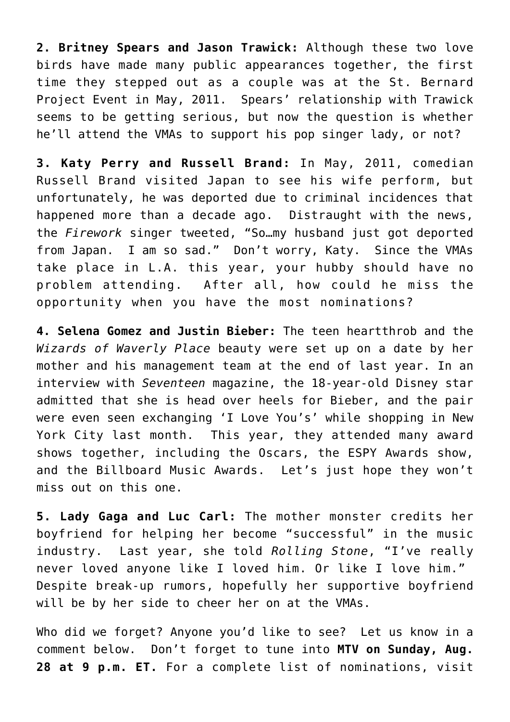**2. Britney Spears and Jason Trawick:** Although these two love birds have made many public appearances together, the first time they stepped out as a couple was at the St. Bernard Project Event in May, 2011. Spears' relationship with Trawick seems to be getting serious, but now the question is whether he'll attend the VMAs to support his pop singer lady, or not?

**3. Katy Perry and Russell Brand:** In May, 2011, comedian Russell Brand visited Japan to see his wife perform, but unfortunately, he was deported due to criminal incidences that happened more than a decade ago. Distraught with the news, the *Firework* singer tweeted, "So…my husband just got deported from Japan. I am so sad." Don't worry, Katy. Since the VMAs take place in L.A. this year, your hubby should have no problem attending. After all, how could he miss the opportunity when you have the most nominations?

**4. Selena Gomez and Justin Bieber:** The teen heartthrob and the *Wizards of Waverly Place* beauty were set up on a date by her mother and his management team at the end of last year. In an interview with *Seventeen* magazine, the 18-year-old Disney star admitted that she is head over heels for Bieber, and the pair were even seen exchanging 'I Love You's' while shopping in New York City last month. This year, they attended many award shows together, including the Oscars, the ESPY Awards show, and the Billboard Music Awards. Let's just hope they won't miss out on this one.

**5. Lady Gaga and Luc Carl:** The mother monster credits her boyfriend for helping her become "successful" in the music industry. Last year, she told *Rolling Stone*, "I've really never loved anyone like I loved him. Or like I love him." Despite break-up rumors, hopefully her supportive boyfriend will be by her side to cheer her on at the VMAs.

Who did we forget? Anyone you'd like to see? Let us know in a comment below. Don't forget to tune into **MTV on Sunday, Aug. 28 at 9 p.m. ET.** For a complete list of nominations, visit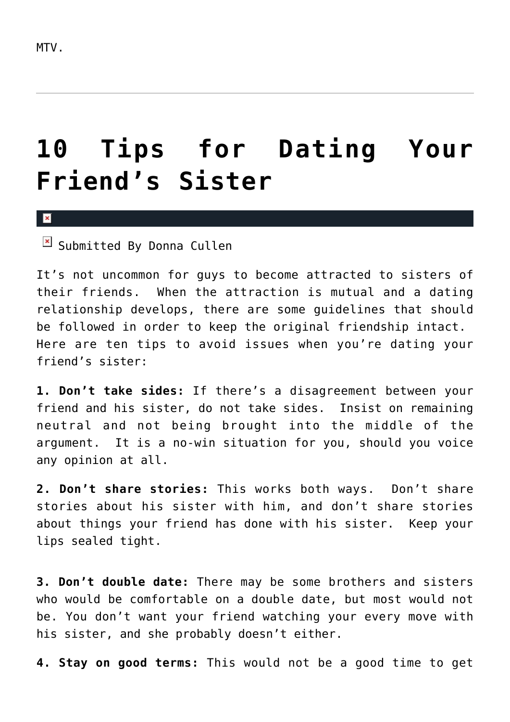## **[10 Tips for Dating Your](https://cupidspulse.com/19290/10-tips-for-dating-your-friends-sister/) [Friend's Sister](https://cupidspulse.com/19290/10-tips-for-dating-your-friends-sister/)**

 $\mathbf{x}$ 

 $\boxed{\times}$  Submitted By Donna Cullen

It's not uncommon for guys to become attracted to sisters of their friends. When the attraction is mutual and a dating relationship develops, there are some guidelines that should be followed in order to keep the original friendship intact. Here are ten tips to avoid issues when you're dating your friend's sister:

**1. Don't take sides:** If there's a disagreement between your friend and his sister, do not take sides. Insist on remaining neutral and not being brought into the middle of the argument. It is a no-win situation for you, should you voice any opinion at all.

**2. Don't share stories:** This works both ways. Don't share stories about his sister with him, and don't share stories about things your friend has done with his sister. Keep your lips sealed tight.

**3. Don't double date:** There may be some brothers and sisters who would be comfortable on a double date, but most would not be. You don't want your friend watching your every move with his sister, and she probably doesn't either.

**4. Stay on good terms:** This would not be a good time to get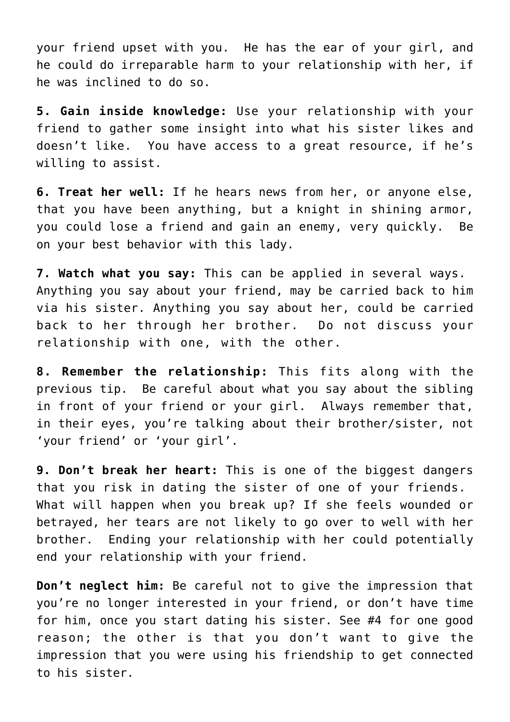your friend upset with you. He has the ear of your girl, and he could do irreparable harm to your relationship with her, if he was inclined to do so.

**5. Gain inside knowledge:** Use your relationship with your friend to gather some insight into what his sister likes and doesn't like. You have access to a great resource, if he's willing to assist.

**6. Treat her well:** If he hears news from her, or anyone else, that you have been anything, but a knight in shining armor, you could lose a friend and gain an enemy, very quickly. Be on your best behavior with this lady.

**7. Watch what you say:** This can be applied in several ways. Anything you say about your friend, may be carried back to him via his sister. Anything you say about her, could be carried back to her through her brother. Do not discuss your relationship with one, with the other.

**8. Remember the relationship:** This fits along with the previous tip. Be careful about what you say about the sibling in front of your friend or your girl. Always remember that, in their eyes, you're talking about their brother/sister, not 'your friend' or 'your girl'.

**9. Don't break her heart:** This is one of the biggest dangers that you risk in dating the sister of one of your friends. What will happen when you break up? If she feels wounded or betrayed, her tears are not likely to go over to well with her brother. Ending your relationship with her could potentially end your relationship with your friend.

**Don't neglect him:** Be careful not to give the impression that you're no longer interested in your friend, or don't have time for him, once you start dating his sister. See #4 for one good reason; the other is that you don't want to give the impression that you were using his friendship to get connected to his sister.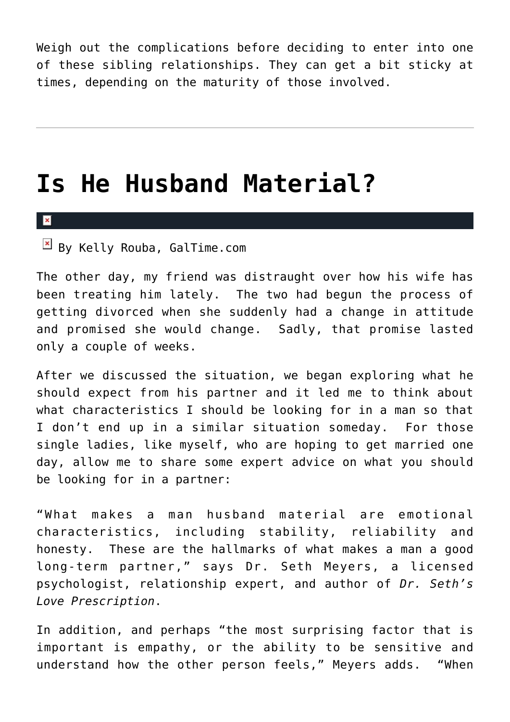Weigh out the complications before deciding to enter into one of these sibling relationships. They can get a bit sticky at times, depending on the maturity of those involved.

## **[Is He Husband Material?](https://cupidspulse.com/17707/is-he-husband-material/)**

 $\pmb{\times}$ 

 $\mathbb{E}$  By Kelly Rouba, GalTime.com

The other day, my friend was distraught over how his wife has been treating him lately. The two had begun the process of getting divorced when she suddenly had a change in attitude and promised she would change. Sadly, that promise lasted only a couple of weeks.

After we discussed the situation, we began exploring what he should expect from his partner and it led me to think about what characteristics I should be looking for in a man so that I don't end up in a similar situation someday. For those single ladies, like myself, who are hoping to get married one day, allow me to share some expert advice on what you should be looking for in a partner:

"What makes a man husband material are emotional characteristics, including stability, reliability and honesty. These are the hallmarks of what makes a man a good long-term partner," says Dr. Seth Meyers, a licensed psychologist, relationship expert, and author of *Dr. Seth's Love Prescription*.

In addition, and perhaps "the most surprising factor that is important is empathy, or the ability to be sensitive and understand how the other person feels," Meyers adds. "When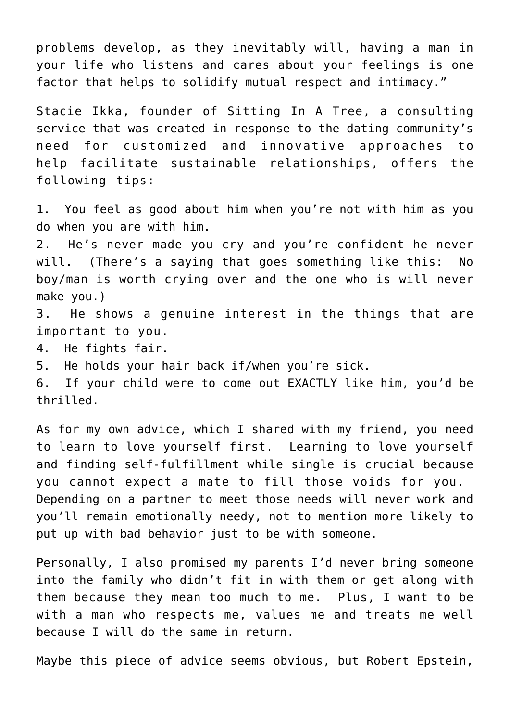problems develop, as they inevitably will, having a man in your life who listens and cares about your feelings is one factor that helps to solidify mutual respect and intimacy."

Stacie Ikka, founder of Sitting In A Tree, a consulting service that was created in response to the dating community's need for customized and innovative approaches to help facilitate sustainable relationships, offers the following tips:

1. You feel as good about him when you're not with him as you do when you are with him.

2. He's never made you cry and you're confident he never will. (There's a saying that goes something like this: No boy/man is worth crying over and the one who is will never make you.)

3. He shows a genuine interest in the things that are important to you.

4. He fights fair.

5. He holds your hair back if/when you're sick.

6. If your child were to come out EXACTLY like him, you'd be thrilled.

As for my own advice, which I shared with my friend, you need to learn to love yourself first. Learning to love yourself and finding self-fulfillment while single is crucial because you cannot expect a mate to fill those voids for you. Depending on a partner to meet those needs will never work and you'll remain emotionally needy, not to mention more likely to put up with bad behavior just to be with someone.

Personally, I also promised my parents I'd never bring someone into the family who didn't fit in with them or get along with them because they mean too much to me. Plus, I want to be with a man who respects me, values me and treats me well because I will do the same in return.

Maybe this piece of advice seems obvious, but Robert Epstein,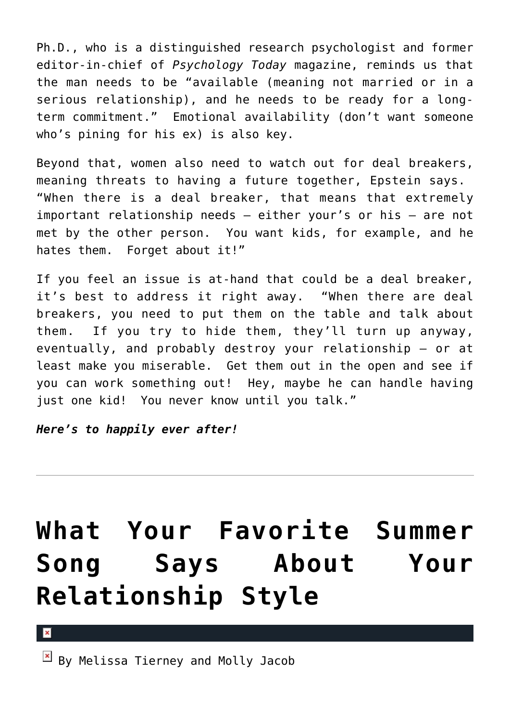Ph.D., who is a distinguished research psychologist and former editor-in-chief of *Psychology Today* magazine, reminds us that the man needs to be "available (meaning not married or in a serious relationship), and he needs to be ready for a longterm commitment." Emotional availability (don't want someone who's pining for his ex) is also key.

Beyond that, women also need to watch out for deal breakers, meaning threats to having a future together, Epstein says. "When there is a deal breaker, that means that extremely important relationship needs – either your's or his – are not met by the other person. You want kids, for example, and he hates them. Forget about it!"

If you feel an issue is at-hand that could be a deal breaker, it's best to address it right away. "When there are deal breakers, you need to put them on the table and talk about them. If you try to hide them, they'll turn up anyway, eventually, and probably destroy your relationship – or at least make you miserable. Get them out in the open and see if you can work something out! Hey, maybe he can handle having just one kid! You never know until you talk."

*Here's to happily ever after!*

## **[What Your Favorite Summer](https://cupidspulse.com/17576/what-your-favorite-summer-song-say-about-your-relationship-style/) [Song Says About Your](https://cupidspulse.com/17576/what-your-favorite-summer-song-say-about-your-relationship-style/) [Relationship Style](https://cupidspulse.com/17576/what-your-favorite-summer-song-say-about-your-relationship-style/)**

### $\pmb{\times}$

 $\overline{B}$  By Melissa Tierney and Molly Jacob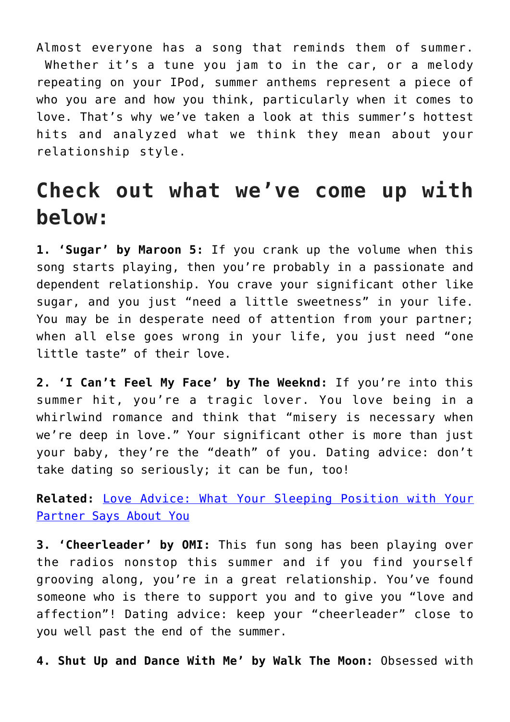Almost everyone has a song that reminds them of summer. Whether it's a tune you jam to in the car, or a melody repeating on your IPod, summer anthems represent a piece of who you are and how you think, particularly when it comes to love. That's why we've taken a look at this summer's hottest hits and analyzed what we think they mean about your relationship style.

## **Check out what we've come up with below:**

**1. 'Sugar' by Maroon 5:** If you crank up the volume when this song starts playing, then you're probably in a passionate and dependent relationship. You crave your significant other like sugar, and you just "need a little sweetness" in your life. You may be in desperate need of attention from your partner; when all else goes wrong in your life, you just need "one little taste" of their love.

**2. 'I Can't Feel My Face' by The Weeknd:** If you're into this summer hit, you're a tragic lover. You love being in a whirlwind romance and think that "misery is necessary when we're deep in love." Your significant other is more than just your baby, they're the "death" of you. Dating advice: don't take dating so seriously; it can be fun, too!

**Related:** [Love Advice: What Your Sleeping Position with Your](http://cupidspulse.com/98931/love-advice-dating-advice-sleep-position-means-relationships-love/#8tC5UJRCwoLGljMl.99) [Partner Says About You](http://cupidspulse.com/98931/love-advice-dating-advice-sleep-position-means-relationships-love/#8tC5UJRCwoLGljMl.99)

**3. 'Cheerleader' by OMI:** This fun song has been playing over the radios nonstop this summer and if you find yourself grooving along, you're in a great relationship. You've found someone who is there to support you and to give you "love and affection"! Dating advice: keep your "cheerleader" close to you well past the end of the summer.

**4. Shut Up and Dance With Me' by Walk The Moon:** Obsessed with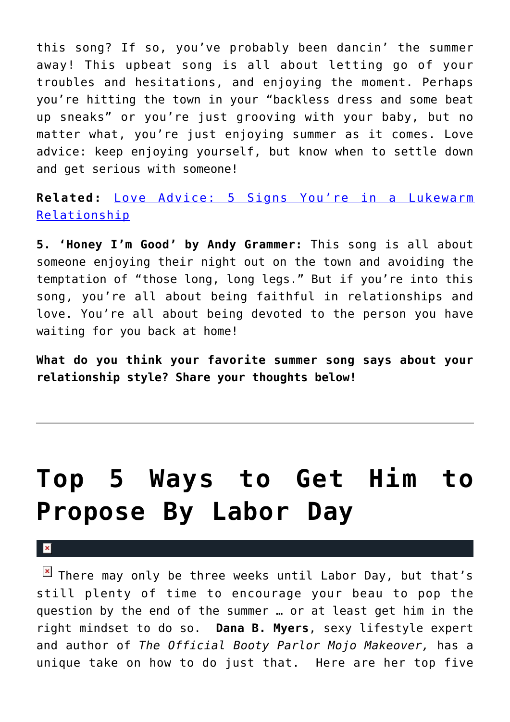this song? If so, you've probably been dancin' the summer away! This upbeat song is all about letting go of your troubles and hesitations, and enjoying the moment. Perhaps you're hitting the town in your "backless dress and some beat up sneaks" or you're just grooving with your baby, but no matter what, you're just enjoying summer as it comes. Love advice: keep enjoying yourself, but know when to settle down and get serious with someone!

**Related:** [Love Advice: 5 Signs You're in a Lukewarm](http://cupidspulse.com/94604/love-advice-signs-lukewarm-relationships/#cKRBGcuK3kgUmGky.99) [Relationship](http://cupidspulse.com/94604/love-advice-signs-lukewarm-relationships/#cKRBGcuK3kgUmGky.99)

**5. 'Honey I'm Good' by Andy Grammer:** This song is all about someone enjoying their night out on the town and avoiding the temptation of "those long, long legs." But if you're into this song, you're all about being faithful in relationships and love. You're all about being devoted to the person you have waiting for you back at home!

**What do you think your favorite summer song says about your relationship style? Share your thoughts below!**

## **[Top 5 Ways to Get Him to](https://cupidspulse.com/18816/top-5-ways-to-get-him-to-propose-by-labor-day/) [Propose By Labor Day](https://cupidspulse.com/18816/top-5-ways-to-get-him-to-propose-by-labor-day/)**

#### $\mathbf x$

 $\boxed{\times}$  There may only be three weeks until Labor Day, but that's still plenty of time to encourage your beau to pop the question by the end of the summer … or at least get him in the right mindset to do so. **Dana B. Myers**, sexy lifestyle expert and author of *The Official Booty Parlor Mojo Makeover,* has a unique take on how to do just that. Here are her top five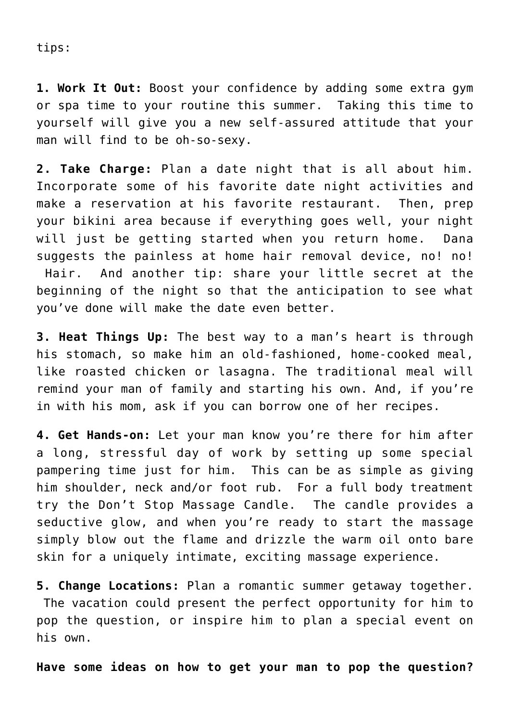tips:

**1. Work It Out:** Boost your confidence by adding some extra gym or spa time to your routine this summer. Taking this time to yourself will give you a new self-assured attitude that your man will find to be oh-so-sexy.

**2. Take Charge:** Plan a date night that is all about him. Incorporate some of his favorite date night activities and make a reservation at his favorite restaurant. Then, prep your bikini area because if everything goes well, your night will just be getting started when you return home. Dana suggests the painless at home hair removal device, no! no! Hair. And another tip: share your little secret at the beginning of the night so that the anticipation to see what you've done will make the date even better.

**3. Heat Things Up:** The best way to a man's heart is through his stomach, so make him an old-fashioned, home-cooked meal, like roasted chicken or lasagna. The traditional meal will remind your man of family and starting his own. And, if you're in with his mom, ask if you can borrow one of her recipes.

**4. Get Hands-on:** Let your man know you're there for him after a long, stressful day of work by setting up some special pampering time just for him. This can be as simple as giving him shoulder, neck and/or foot rub. For a full body treatment try the Don't Stop Massage Candle. The candle provides a seductive glow, and when you're ready to start the massage simply blow out the flame and drizzle the warm oil onto bare skin for a uniquely intimate, exciting massage experience.

**5. Change Locations:** Plan a romantic summer getaway together. The vacation could present the perfect opportunity for him to pop the question, or inspire him to plan a special event on his own.

**Have some ideas on how to get your man to pop the question?**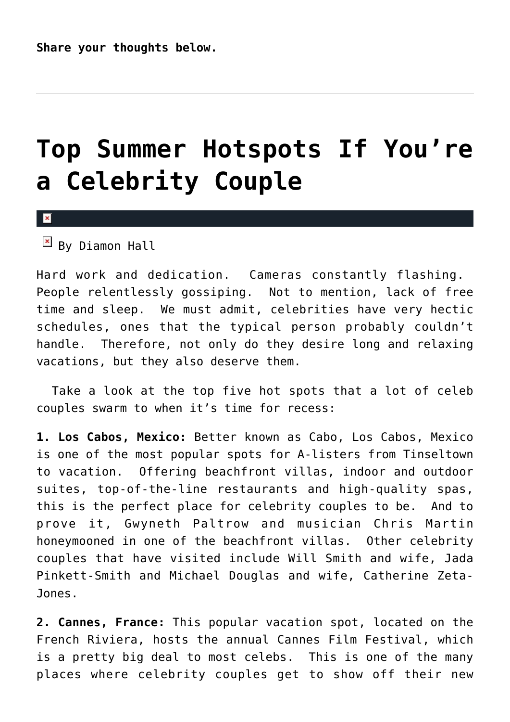## **[Top Summer Hotspots If You're](https://cupidspulse.com/16651/top-summer-hotspots-if-youre-a-celebrity-couple/) [a Celebrity Couple](https://cupidspulse.com/16651/top-summer-hotspots-if-youre-a-celebrity-couple/)**

 $\pmb{\times}$ 

 $\boxed{\times}$  By Diamon Hall

Hard work and dedication. Cameras constantly flashing. People relentlessly gossiping. Not to mention, lack of free time and sleep. We must admit, celebrities have very hectic schedules, ones that the typical person probably couldn't handle. Therefore, not only do they desire long and relaxing vacations, but they also deserve them.

 Take a look at the top five hot spots that a lot of celeb couples swarm to when it's time for recess:

**1. Los Cabos, Mexico:** Better known as Cabo, Los Cabos, Mexico is one of the most popular spots for A-listers from Tinseltown to vacation. Offering beachfront villas, indoor and outdoor suites, top-of-the-line restaurants and high-quality spas, this is the perfect place for celebrity couples to be. And to prove it, Gwyneth Paltrow and musician Chris Martin honeymooned in one of the beachfront villas. Other celebrity couples that have visited include Will Smith and wife, Jada Pinkett-Smith and Michael Douglas and wife, Catherine Zeta-Jones.

**2. Cannes, France:** This popular vacation spot, located on the French Riviera, hosts the annual Cannes Film Festival, which is a pretty big deal to most celebs. This is one of the many places where celebrity couples get to show off their new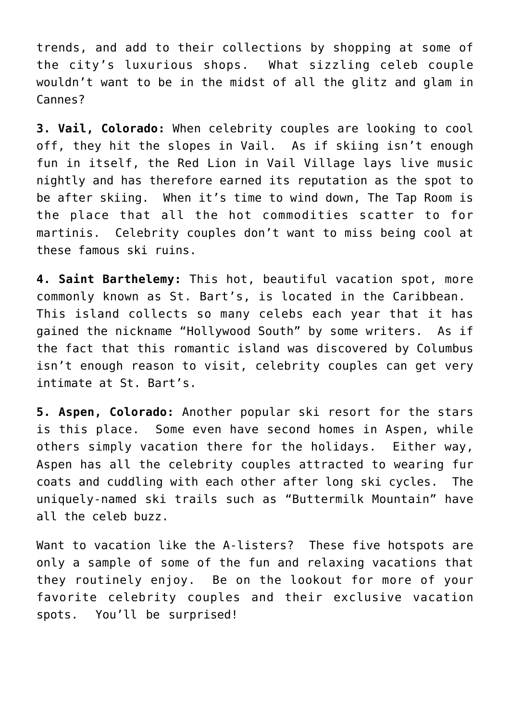trends, and add to their collections by shopping at some of the city's luxurious shops. What sizzling celeb couple wouldn't want to be in the midst of all the glitz and glam in Cannes?

**3. Vail, Colorado:** When celebrity couples are looking to cool off, they hit the slopes in Vail. As if skiing isn't enough fun in itself, the Red Lion in Vail Village lays live music nightly and has therefore earned its reputation as the spot to be after skiing. When it's time to wind down, The Tap Room is the place that all the hot commodities scatter to for martinis. Celebrity couples don't want to miss being cool at these famous ski ruins.

**4. Saint Barthelemy:** This hot, beautiful vacation spot, more commonly known as St. Bart's, is located in the Caribbean. This island collects so many celebs each year that it has gained the nickname "Hollywood South" by some writers. As if the fact that this romantic island was discovered by Columbus isn't enough reason to visit, celebrity couples can get very intimate at St. Bart's.

**5. Aspen, Colorado:** Another popular ski resort for the stars is this place. Some even have second homes in Aspen, while others simply vacation there for the holidays. Either way, Aspen has all the celebrity couples attracted to wearing fur coats and cuddling with each other after long ski cycles. The uniquely-named ski trails such as "Buttermilk Mountain" have all the celeb buzz.

Want to vacation like the A-listers? These five hotspots are only a sample of some of the fun and relaxing vacations that they routinely enjoy. Be on the lookout for more of your favorite celebrity couples and their exclusive vacation spots. You'll be surprised!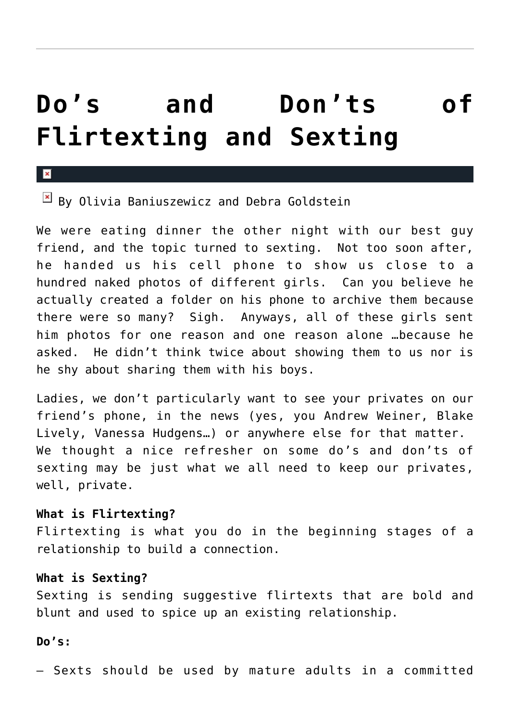## **[Do's and Don'ts of](https://cupidspulse.com/17518/dos-and-donts-of-flirtexting-and-sexting/) [Flirtexting and Sexting](https://cupidspulse.com/17518/dos-and-donts-of-flirtexting-and-sexting/)**

#### $\overline{\mathbf{x}}$

 $\boxed{\times}$  By Olivia Baniuszewicz and Debra Goldstein

We were eating dinner the other night with our best guy friend, and the topic turned to sexting. Not too soon after, he handed us his cell phone to show us close to a hundred naked photos of different girls. Can you believe he actually created a folder on his phone to archive them because there were so many? Sigh. Anyways, all of these girls sent him photos for one reason and one reason alone …because he asked. He didn't think twice about showing them to us nor is he shy about sharing them with his boys.

Ladies, we don't particularly want to see your privates on our friend's phone, in the news (yes, you Andrew Weiner, Blake Lively, Vanessa Hudgens…) or anywhere else for that matter. We thought a nice refresher on some do's and don'ts of sexting may be just what we all need to keep our privates, well, private.

#### **What is Flirtexting?**

Flirtexting is what you do in the beginning stages of a relationship to build a connection.

## **What is Sexting?**

Sexting is sending suggestive flirtexts that are bold and blunt and used to spice up an existing relationship.

#### **Do's:**

– Sexts should be used by mature adults in a committed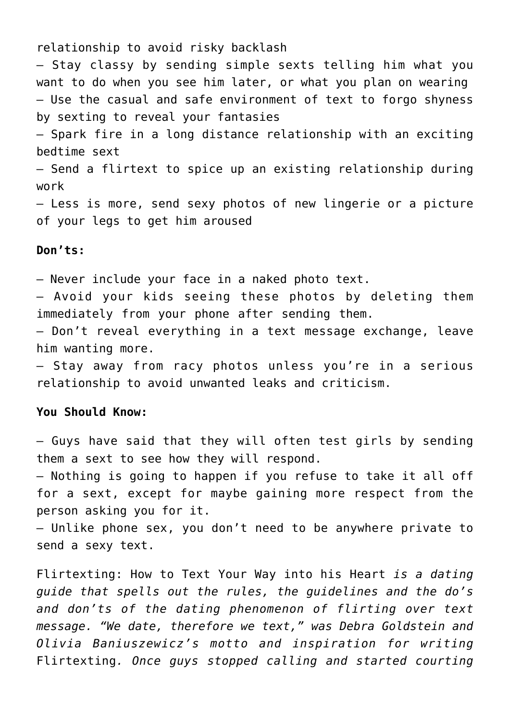relationship to avoid risky backlash

– Stay classy by sending simple sexts telling him what you want to do when you see him later, or what you plan on wearing – Use the casual and safe environment of text to forgo shyness by sexting to reveal your fantasies

– Spark fire in a long distance relationship with an exciting bedtime sext

– Send a flirtext to spice up an existing relationship during work

– Less is more, send sexy photos of new lingerie or a picture of your legs to get him aroused

### **Don'ts:**

– Never include your face in a naked photo text.

– Avoid your kids seeing these photos by deleting them immediately from your phone after sending them.

– Don't reveal everything in a text message exchange, leave him wanting more.

– Stay away from racy photos unless you're in a serious relationship to avoid unwanted leaks and criticism.

#### **You Should Know:**

– Guys have said that they will often test girls by sending them a sext to see how they will respond.

– Nothing is going to happen if you refuse to take it all off for a sext, except for maybe gaining more respect from the person asking you for it.

– Unlike phone sex, you don't need to be anywhere private to send a sexy text.

Flirtexting: How to Text Your Way into his Heart *is a dating guide that spells out the rules, the guidelines and the do's and don'ts of the dating phenomenon of flirting over text message. "We date, therefore we text," was Debra Goldstein and Olivia Baniuszewicz's motto and inspiration for writing* Flirtexting*. Once guys stopped calling and started courting*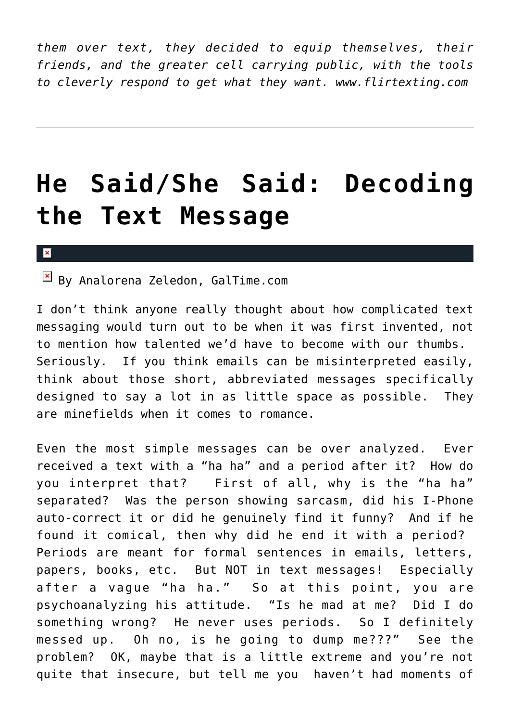*them over text, they decided to equip themselves, their friends, and the greater cell carrying public, with the tools to cleverly respond to get what they want. www.flirtexting.com*

## **[He Said/She Said: Decoding](https://cupidspulse.com/17814/he-said-she-said-decoding-text-message/) [the Text Message](https://cupidspulse.com/17814/he-said-she-said-decoding-text-message/)**

#### $\pmb{\times}$

 $\boxed{\times}$  By Analorena Zeledon, GalTime.com

I don't think anyone really thought about how complicated text messaging would turn out to be when it was first invented, not to mention how talented we'd have to become with our thumbs. Seriously. If you think emails can be misinterpreted easily, think about those short, abbreviated messages specifically designed to say a lot in as little space as possible. They are minefields when it comes to romance.

Even the most simple messages can be over analyzed. Ever received a text with a "ha ha" and a period after it? How do you interpret that? First of all, why is the "ha ha" separated? Was the person showing sarcasm, did his I-Phone auto-correct it or did he genuinely find it funny? And if he found it comical, then why did he end it with a period? Periods are meant for formal sentences in emails, letters, papers, books, etc. But NOT in text messages! Especially after a vague "ha ha." So at this point, you are psychoanalyzing his attitude. "Is he mad at me? Did I do something wrong? He never uses periods. So I definitely messed up. Oh no, is he going to dump me???" See the problem? OK, maybe that is a little extreme and you're not quite that insecure, but tell me you haven't had moments of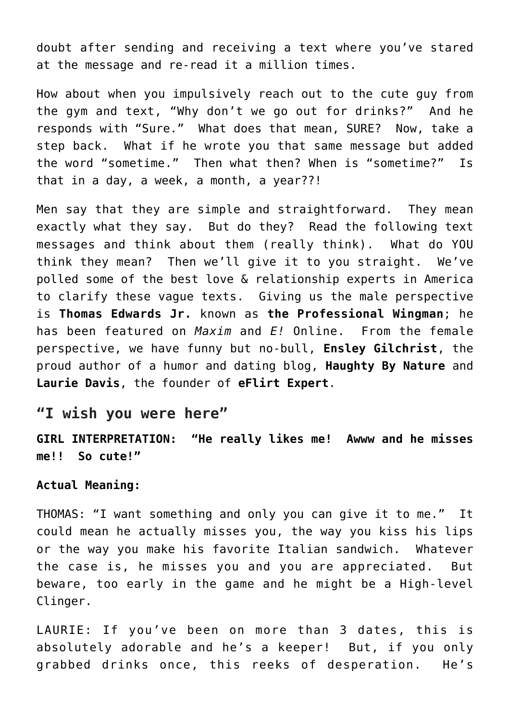doubt after sending and receiving a text where you've stared at the message and re-read it a million times.

How about when you impulsively reach out to the cute guy from the gym and text, "Why don't we go out for drinks?" And he responds with "Sure." What does that mean, SURE? Now, take a step back. What if he wrote you that same message but added the word "sometime." Then what then? When is "sometime?" Is that in a day, a week, a month, a year??!

Men say that they are simple and straightforward. They mean exactly what they say. But do they? Read the following text messages and think about them (really think). What do YOU think they mean? Then we'll give it to you straight. We've polled some of the best love & relationship experts in America to clarify these vague texts. Giving us the male perspective is **Thomas Edwards Jr.** known as **the Professional Wingman**; he has been featured on *Maxim* and *E!* Online. From the female perspective, we have funny but no-bull, **Ensley Gilchrist**, the proud author of a humor and dating blog, **Haughty By Nature** and **Laurie Davis**, the founder of **eFlirt Expert**.

## **"I wish you were here"**

**GIRL INTERPRETATION: "He really likes me! Awww and he misses me!! So cute!"**

#### **Actual Meaning:**

THOMAS: "I want something and only you can give it to me." It could mean he actually misses you, the way you kiss his lips or the way you make his favorite Italian sandwich. Whatever the case is, he misses you and you are appreciated. But beware, too early in the game and he might be a High-level Clinger.

LAURIE: If you've been on more than 3 dates, this is absolutely adorable and he's a keeper! But, if you only grabbed drinks once, this reeks of desperation. He's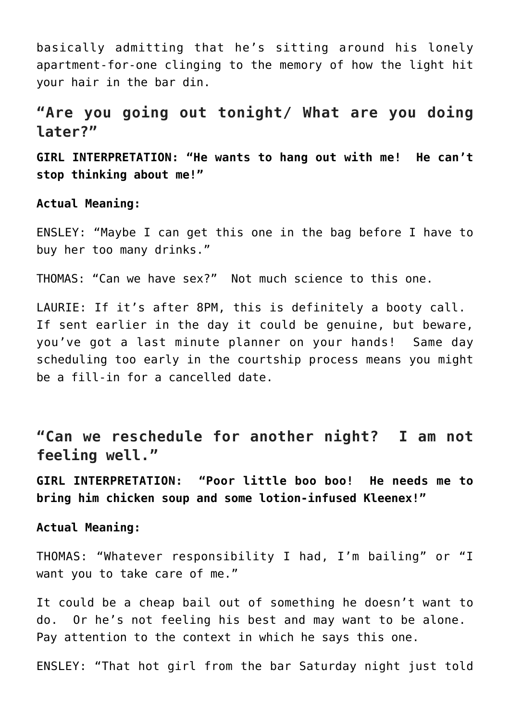basically admitting that he's sitting around his lonely apartment-for-one clinging to the memory of how the light hit your hair in the bar din.

## **"Are you going out tonight/ What are you doing later?"**

**GIRL INTERPRETATION: "He wants to hang out with me! He can't stop thinking about me!"**

**Actual Meaning:**

ENSLEY: "Maybe I can get this one in the bag before I have to buy her too many drinks."

THOMAS: "Can we have sex?" Not much science to this one.

LAURIE: If it's after 8PM, this is definitely a booty call. If sent earlier in the day it could be genuine, but beware, you've got a last minute planner on your hands! Same day scheduling too early in the courtship process means you might be a fill-in for a cancelled date.

**"Can we reschedule for another night? I am not feeling well."**

**GIRL INTERPRETATION: "Poor little boo boo! He needs me to bring him chicken soup and some lotion-infused Kleenex!"**

**Actual Meaning:**

THOMAS: "Whatever responsibility I had, I'm bailing" or "I want you to take care of me."

It could be a cheap bail out of something he doesn't want to do. Or he's not feeling his best and may want to be alone. Pay attention to the context in which he says this one.

ENSLEY: "That hot girl from the bar Saturday night just told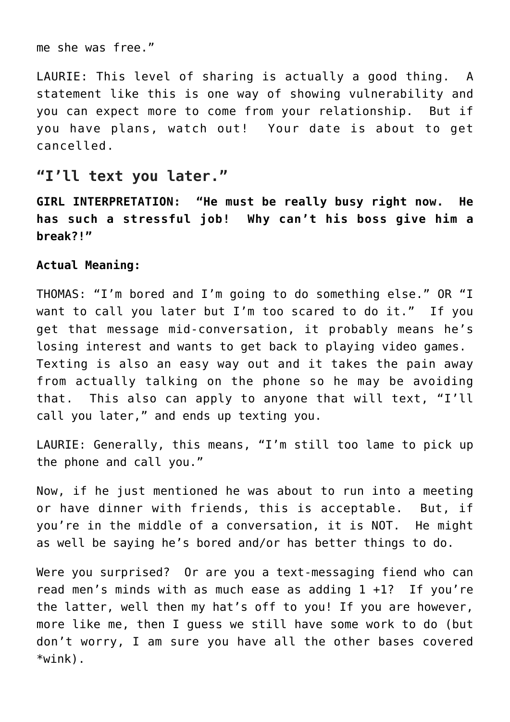me she was free."

LAURIE: This level of sharing is actually a good thing. A statement like this is one way of showing vulnerability and you can expect more to come from your relationship. But if you have plans, watch out! Your date is about to get cancelled.

## **"I'll text you later."**

**GIRL INTERPRETATION: "He must be really busy right now. He has such a stressful job! Why can't his boss give him a break?!"**

### **Actual Meaning:**

THOMAS: "I'm bored and I'm going to do something else." OR "I want to call you later but I'm too scared to do it." If you get that message mid-conversation, it probably means he's losing interest and wants to get back to playing video games. Texting is also an easy way out and it takes the pain away from actually talking on the phone so he may be avoiding that. This also can apply to anyone that will text, "I'll call you later," and ends up texting you.

LAURIE: Generally, this means, "I'm still too lame to pick up the phone and call you."

Now, if he just mentioned he was about to run into a meeting or have dinner with friends, this is acceptable. But, if you're in the middle of a conversation, it is NOT. He might as well be saying he's bored and/or has better things to do.

Were you surprised? Or are you a text-messaging fiend who can read men's minds with as much ease as adding 1 +1? If you're the latter, well then my hat's off to you! If you are however, more like me, then I guess we still have some work to do (but don't worry, I am sure you have all the other bases covered \*wink).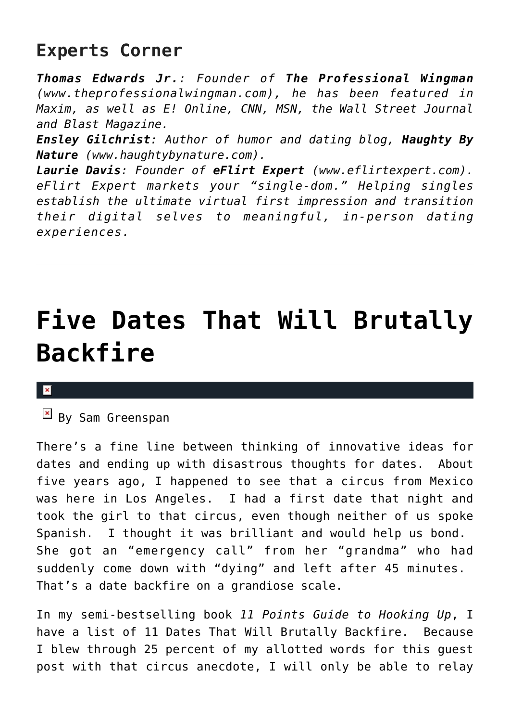## **Experts Corner**

*Thomas Edwards Jr.: Founder of The Professional Wingman (www.theprofessionalwingman.com), he has been featured in Maxim, as well as E! Online, CNN, MSN, the Wall Street Journal and Blast Magazine.*

*Ensley Gilchrist: Author of humor and dating blog, Haughty By Nature (www.haughtybynature.com).*

*Laurie Davis: Founder of eFlirt Expert (www.eflirtexpert.com). eFlirt Expert markets your "single-dom." Helping singles establish the ultimate virtual first impression and transition their digital selves to meaningful, in-person dating experiences.*

## **[Five Dates That Will Brutally](https://cupidspulse.com/18300/five-dates-that-will-brutally-backfire/) [Backfire](https://cupidspulse.com/18300/five-dates-that-will-brutally-backfire/)**

#### ×

 $By$  Sam Greenspan

There's a fine line between thinking of innovative ideas for dates and ending up with disastrous thoughts for dates. About five years ago, I happened to see that a circus from Mexico was here in Los Angeles. I had a first date that night and took the girl to that circus, even though neither of us spoke Spanish. I thought it was brilliant and would help us bond. She got an "emergency call" from her "grandma" who had suddenly come down with "dying" and left after 45 minutes. That's a date backfire on a grandiose scale.

In my semi-bestselling book *11 Points Guide to Hooking Up*, I have a list of 11 Dates That Will Brutally Backfire. Because I blew through 25 percent of my allotted words for this guest post with that circus anecdote, I will only be able to relay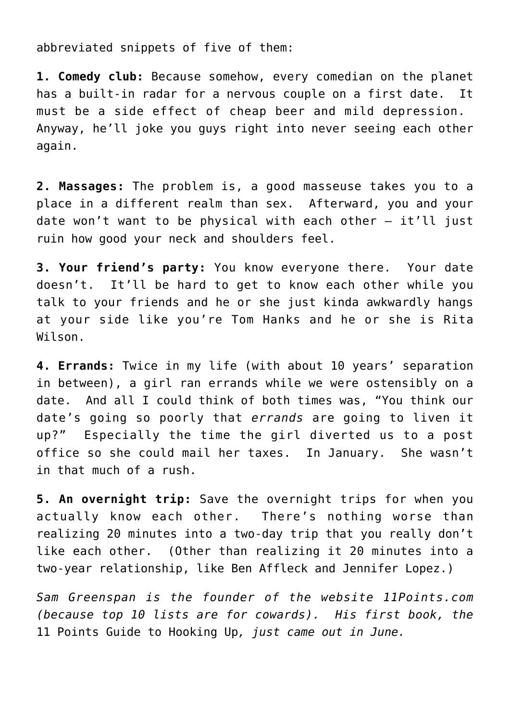abbreviated snippets of five of them:

**1. Comedy club:** Because somehow, every comedian on the planet has a built-in radar for a nervous couple on a first date. It must be a side effect of cheap beer and mild depression. Anyway, he'll joke you guys right into never seeing each other again.

**2. Massages:** The problem is, a good masseuse takes you to a place in a different realm than sex. Afterward, you and your date won't want to be physical with each other — it'll just ruin how good your neck and shoulders feel.

**3. Your friend's party:** You know everyone there. Your date doesn't. It'll be hard to get to know each other while you talk to your friends and he or she just kinda awkwardly hangs at your side like you're Tom Hanks and he or she is Rita Wilson.

**4. Errands:** Twice in my life (with about 10 years' separation in between), a girl ran errands while we were ostensibly on a date. And all I could think of both times was, "You think our date's going so poorly that *errands* are going to liven it up?" Especially the time the girl diverted us to a post office so she could mail her taxes. In January. She wasn't in that much of a rush.

**5. An overnight trip:** Save the overnight trips for when you actually know each other. There's nothing worse than realizing 20 minutes into a two-day trip that you really don't like each other. (Other than realizing it 20 minutes into a two-year relationship, like Ben Affleck and Jennifer Lopez.)

*Sam Greenspan is the founder of the website 11Points.com (because top 10 lists are for cowards). His first book, the* 11 Points Guide to Hooking Up*, just came out in June.*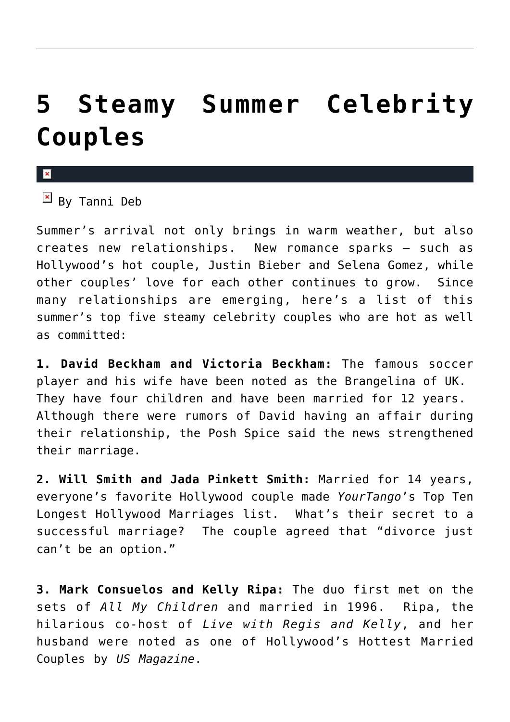## **[5 Steamy Summer Celebrity](https://cupidspulse.com/16232/5-steamy-summer-celebrity-couples/) [Couples](https://cupidspulse.com/16232/5-steamy-summer-celebrity-couples/)**

x

 $By$  Tanni Deb

Summer's arrival not only brings in warm weather, but also creates new relationships. New romance sparks — such as Hollywood's hot couple, Justin Bieber and Selena Gomez, while other couples' love for each other continues to grow. Since many relationships are emerging, here's a list of this summer's top five steamy celebrity couples who are hot as well as committed:

**1. David Beckham and Victoria Beckham:** The famous soccer player and his wife have been noted as the Brangelina of UK. They have four children and have been married for 12 years. Although there were rumors of David having an affair during their relationship, the Posh Spice said the news strengthened their marriage.

**2. Will Smith and Jada Pinkett Smith:** Married for 14 years, everyone's favorite Hollywood couple made *YourTango*'s Top Ten Longest Hollywood Marriages list. What's their secret to a successful marriage? The couple agreed that "divorce just can't be an option."

**3. Mark Consuelos and Kelly Ripa:** The duo first met on the sets of *All My Children* and married in 1996. Ripa, the hilarious co-host of *Live with Regis and Kelly*, and her husband were noted as one of Hollywood's Hottest Married Couples by *US Magazine*.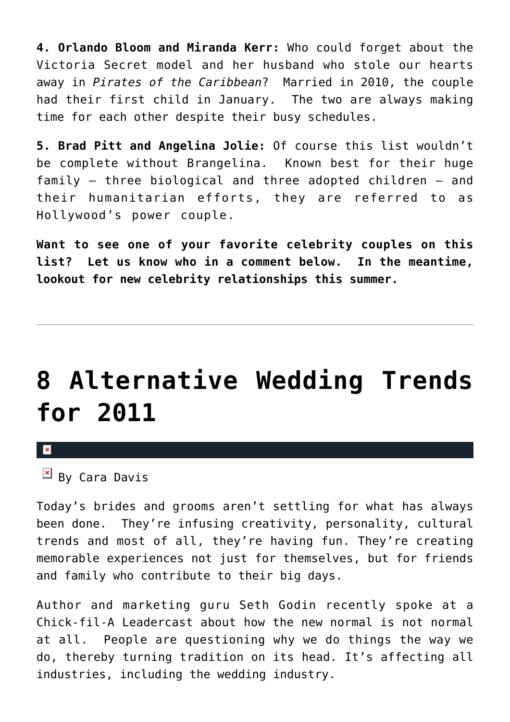**4. Orlando Bloom and Miranda Kerr:** Who could forget about the Victoria Secret model and her husband who stole our hearts away in *Pirates of the Caribbean*? Married in 2010, the couple had their first child in January. The two are always making time for each other despite their busy schedules.

**5. Brad Pitt and Angelina Jolie:** Of course this list wouldn't be complete without Brangelina. Known best for their huge family — three biological and three adopted children — and their humanitarian efforts, they are referred to as Hollywood's power couple.

**Want to see one of your favorite celebrity couples on this list? Let us know who in a comment below. In the meantime, lookout for new celebrity relationships this summer.**

## **[8 Alternative Wedding Trends](https://cupidspulse.com/17245/8-alternative-wedding-trends-for-2011/) [for 2011](https://cupidspulse.com/17245/8-alternative-wedding-trends-for-2011/)**

 $\mathbf x$ 

 $\boxed{\times}$  By Cara Davis

Today's brides and grooms aren't settling for what has always been done. They're infusing creativity, personality, cultural trends and most of all, they're having fun. They're creating memorable experiences not just for themselves, but for friends and family who contribute to their big days.

Author and marketing guru Seth Godin recently spoke at a Chick-fil-A Leadercast about how the new normal is not normal at all. People are questioning why we do things the way we do, thereby turning tradition on its head. It's affecting all industries, including the wedding industry.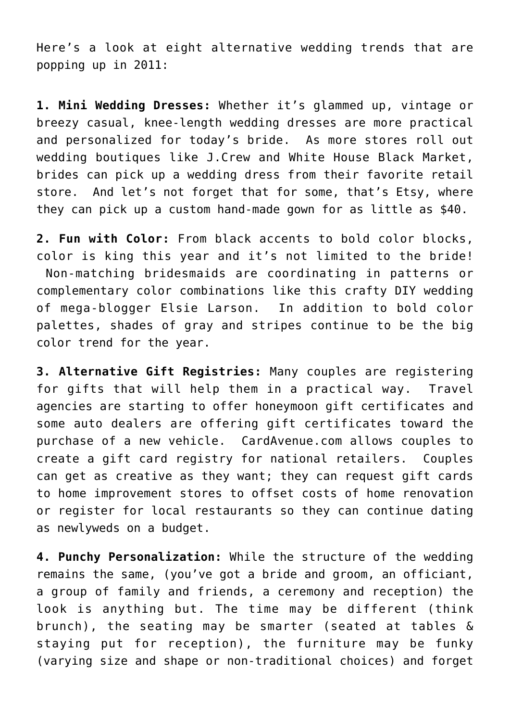Here's a look at eight alternative wedding trends that are popping up in 2011:

**1. Mini Wedding Dresses:** Whether it's glammed up, vintage or breezy casual, knee-length wedding dresses are more practical and personalized for today's bride. As more stores roll out wedding boutiques like J.Crew and White House Black Market, brides can pick up a wedding dress from their favorite retail store. And let's not forget that for some, that's Etsy, where they can pick up a custom hand-made gown for as little as \$40.

**2. Fun with Color:** From black accents to bold color blocks, color is king this year and it's not limited to the bride! Non-matching bridesmaids are coordinating in patterns or complementary color combinations like this crafty DIY wedding of mega-blogger Elsie Larson. In addition to bold color palettes, shades of gray and stripes continue to be the big color trend for the year.

**3. Alternative Gift Registries:** Many couples are registering for gifts that will help them in a practical way. Travel agencies are starting to offer honeymoon gift certificates and some auto dealers are offering gift certificates toward the purchase of a new vehicle. CardAvenue.com allows couples to create a gift card registry for national retailers. Couples can get as creative as they want; they can request gift cards to home improvement stores to offset costs of home renovation or register for local restaurants so they can continue dating as newlyweds on a budget.

**4. Punchy Personalization:** While the structure of the wedding remains the same, (you've got a bride and groom, an officiant, a group of family and friends, a ceremony and reception) the look is anything but. The time may be different (think brunch), the seating may be smarter (seated at tables & staying put for reception), the furniture may be funky (varying size and shape or non-traditional choices) and forget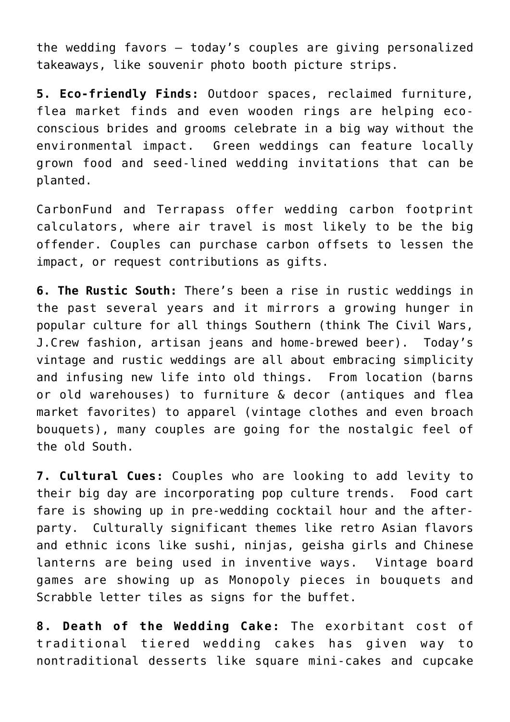the wedding favors – today's couples are giving personalized takeaways, like souvenir photo booth picture strips.

**5. Eco-friendly Finds:** Outdoor spaces, reclaimed furniture, flea market finds and even wooden rings are helping ecoconscious brides and grooms celebrate in a big way without the environmental impact. Green weddings can feature locally grown food and seed-lined wedding invitations that can be planted.

CarbonFund and Terrapass offer wedding carbon footprint calculators, where air travel is most likely to be the big offender. Couples can purchase carbon offsets to lessen the impact, or request contributions as gifts.

**6. The Rustic South:** There's been a rise in rustic weddings in the past several years and it mirrors a growing hunger in popular culture for all things Southern (think The Civil Wars, J.Crew fashion, artisan jeans and home-brewed beer). Today's vintage and rustic weddings are all about embracing simplicity and infusing new life into old things. From location (barns or old warehouses) to furniture & decor (antiques and flea market favorites) to apparel (vintage clothes and even broach bouquets), many couples are going for the nostalgic feel of the old South.

**7. Cultural Cues:** Couples who are looking to add levity to their big day are incorporating pop culture trends. Food cart fare is showing up in pre-wedding cocktail hour and the afterparty. Culturally significant themes like retro Asian flavors and ethnic icons like sushi, ninjas, geisha girls and Chinese lanterns are being used in inventive ways. Vintage board games are showing up as Monopoly pieces in bouquets and Scrabble letter tiles as signs for the buffet.

**8. Death of the Wedding Cake:** The exorbitant cost of traditional tiered wedding cakes has given way to nontraditional desserts like square mini-cakes and cupcake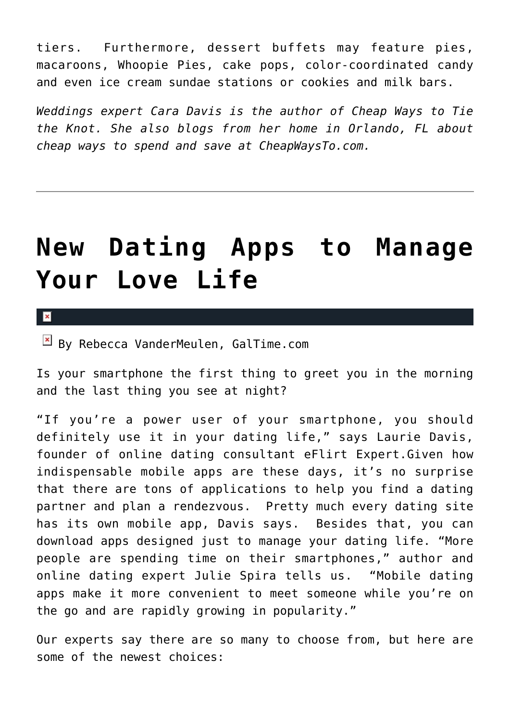tiers. Furthermore, dessert buffets may feature pies, macaroons, Whoopie Pies, cake pops, color-coordinated candy and even ice cream sundae stations or cookies and milk bars.

*Weddings expert Cara Davis is the author of Cheap Ways to Tie the Knot. She also blogs from her home in Orlando, FL about cheap ways to spend and save at CheapWaysTo.com.*

## **[New Dating Apps to Manage](https://cupidspulse.com/17742/new-dating-apps-manage-love-life/) [Your Love Life](https://cupidspulse.com/17742/new-dating-apps-manage-love-life/)**

 $\pmb{\times}$ 

 $\boxed{\times}$  By Rebecca VanderMeulen, GalTime.com

Is your smartphone the first thing to greet you in the morning and the last thing you see at night?

"If you're a power user of your smartphone, you should definitely use it in your dating life," says Laurie Davis, founder of online dating consultant eFlirt Expert.Given how indispensable mobile apps are these days, it's no surprise that there are tons of applications to help you find a dating partner and plan a rendezvous. Pretty much every dating site has its own mobile app, Davis says. Besides that, you can download apps designed just to manage your dating life. "More people are spending time on their smartphones," author and online dating expert Julie Spira tells us. "Mobile dating apps make it more convenient to meet someone while you're on the go and are rapidly growing in popularity."

Our experts say there are so many to choose from, but here are some of the newest choices: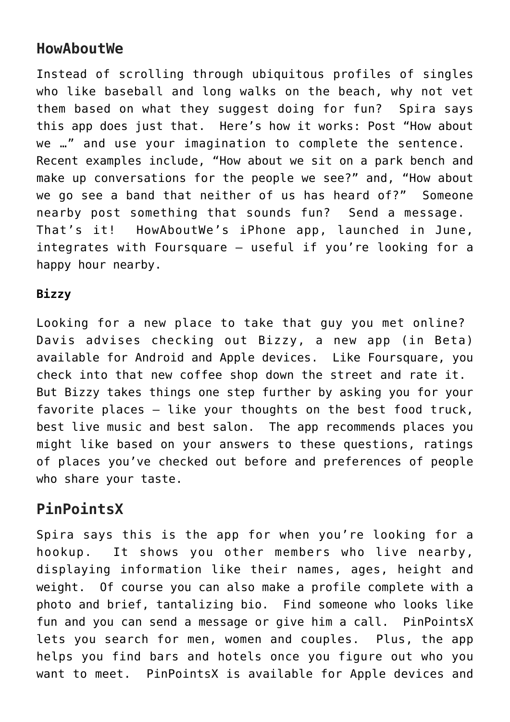## **HowAboutWe**

Instead of scrolling through ubiquitous profiles of singles who like baseball and long walks on the beach, why not vet them based on what they suggest doing for fun? Spira says this app does just that. Here's how it works: Post "How about we …" and use your imagination to complete the sentence. Recent examples include, "How about we sit on a park bench and make up conversations for the people we see?" and, "How about we go see a band that neither of us has heard of?" Someone nearby post something that sounds fun? Send a message. That's it! HowAboutWe's iPhone app, launched in June, integrates with Foursquare — useful if you're looking for a happy hour nearby.

## **Bizzy**

Looking for a new place to take that guy you met online? Davis advises checking out Bizzy, a new app (in Beta) available for Android and Apple devices. Like Foursquare, you check into that new coffee shop down the street and rate it. But Bizzy takes things one step further by asking you for your favorite places — like your thoughts on the best food truck, best live music and best salon. The app recommends places you might like based on your answers to these questions, ratings of places you've checked out before and preferences of people who share your taste.

## **PinPointsX**

Spira says this is the app for when you're looking for a hookup. It shows you other members who live nearby, displaying information like their names, ages, height and weight. Of course you can also make a profile complete with a photo and brief, tantalizing bio. Find someone who looks like fun and you can send a message or give him a call. PinPointsX lets you search for men, women and couples. Plus, the app helps you find bars and hotels once you figure out who you want to meet. PinPointsX is available for Apple devices and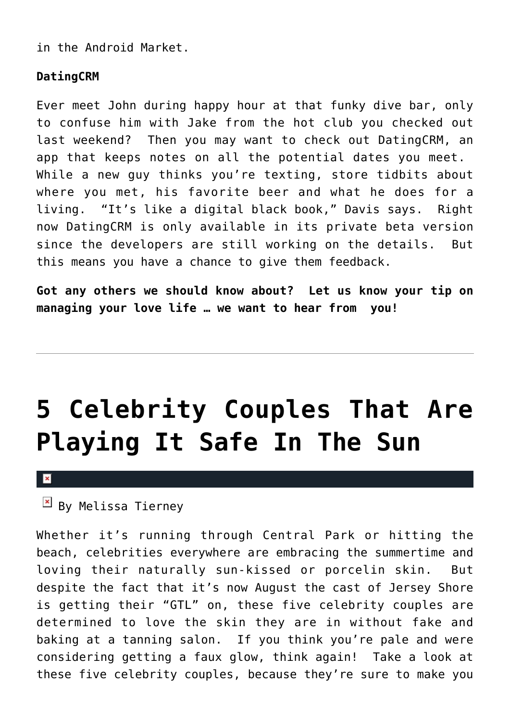in the Android Market.

## **DatingCRM**

Ever meet John during happy hour at that funky dive bar, only to confuse him with Jake from the hot club you checked out last weekend? Then you may want to check out DatingCRM, an app that keeps notes on all the potential dates you meet. While a new guy thinks you're texting, store tidbits about where you met, his favorite beer and what he does for a living. "It's like a digital black book," Davis says. Right now DatingCRM is only available in its private beta version since the developers are still working on the details. But this means you have a chance to give them feedback.

**Got any others we should know about? Let us know your tip on managing your love life … we want to hear from you!**

## **[5 Celebrity Couples That Are](https://cupidspulse.com/16293/5-celebrity-couples-that-are-playing-it-safe-in-the-sun/) [Playing It Safe In The Sun](https://cupidspulse.com/16293/5-celebrity-couples-that-are-playing-it-safe-in-the-sun/)**

 $\mathbf{x}$ 

 $\mathbb{E}$  By Melissa Tierney

Whether it's running through Central Park or hitting the beach, celebrities everywhere are embracing the summertime and loving their naturally sun-kissed or porcelin skin. But despite the fact that it's now August the cast of Jersey Shore is getting their "GTL" on, these five celebrity couples are determined to love the skin they are in without fake and baking at a tanning salon. If you think you're pale and were considering getting a faux glow, think again! Take a look at these five celebrity couples, because they're sure to make you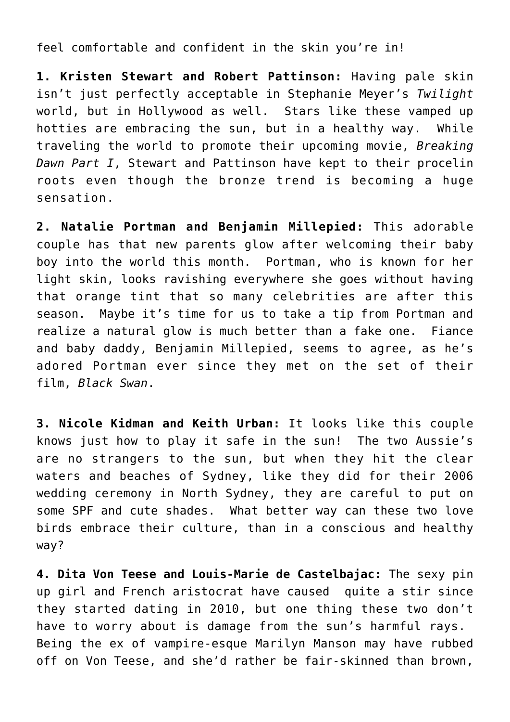feel comfortable and confident in the skin you're in!

**1. Kristen Stewart and Robert Pattinson:** Having pale skin isn't just perfectly acceptable in Stephanie Meyer's *Twilight* world, but in Hollywood as well. Stars like these vamped up hotties are embracing the sun, but in a healthy way. While traveling the world to promote their upcoming movie, *Breaking Dawn Part I*, Stewart and Pattinson have kept to their procelin roots even though the bronze trend is becoming a huge sensation.

**2. Natalie Portman and Benjamin Millepied:** This adorable couple has that new parents glow after welcoming their baby boy into the world this month. Portman, who is known for her light skin, looks ravishing everywhere she goes without having that orange tint that so many celebrities are after this season. Maybe it's time for us to take a tip from Portman and realize a natural glow is much better than a fake one. Fiance and baby daddy, Benjamin Millepied, seems to agree, as he's adored Portman ever since they met on the set of their film, *Black Swan*.

**3. Nicole Kidman and Keith Urban:** It looks like this couple knows just how to play it safe in the sun! The two Aussie's are no strangers to the sun, but when they hit the clear waters and beaches of Sydney, like they did for their 2006 wedding ceremony in North Sydney, they are careful to put on some SPF and cute shades. What better way can these two love birds embrace their culture, than in a conscious and healthy way?

**4. Dita Von Teese and Louis-Marie de Castelbajac:** The sexy pin up girl and French aristocrat have caused quite a stir since they started dating in 2010, but one thing these two don't have to worry about is damage from the sun's harmful rays. Being the ex of vampire-esque Marilyn Manson may have rubbed off on Von Teese, and she'd rather be fair-skinned than brown,